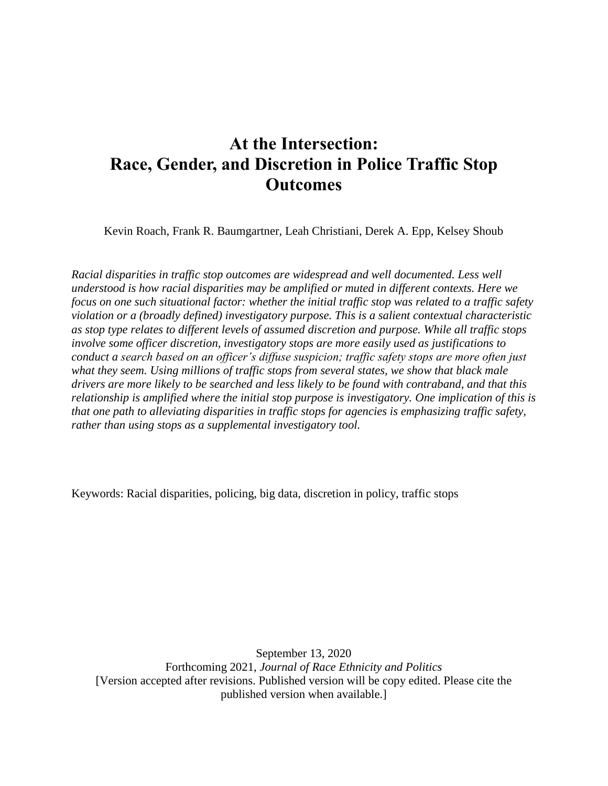# **At the Intersection: Race, Gender, and Discretion in Police Traffic Stop Outcomes**

Kevin Roach, Frank R. Baumgartner, Leah Christiani, Derek A. Epp, Kelsey Shoub

*Racial disparities in traffic stop outcomes are widespread and well documented. Less well understood is how racial disparities may be amplified or muted in different contexts. Here we focus on one such situational factor: whether the initial traffic stop was related to a traffic safety violation or a (broadly defined) investigatory purpose. This is a salient contextual characteristic as stop type relates to different levels of assumed discretion and purpose. While all traffic stops involve some officer discretion, investigatory stops are more easily used as justifications to conduct a search based on an officer's diffuse suspicion; traffic safety stops are more often just what they seem. Using millions of traffic stops from several states, we show that black male drivers are more likely to be searched and less likely to be found with contraband, and that this relationship is amplified where the initial stop purpose is investigatory. One implication of this is that one path to alleviating disparities in traffic stops for agencies is emphasizing traffic safety, rather than using stops as a supplemental investigatory tool.* 

Keywords: Racial disparities, policing, big data, discretion in policy, traffic stops

September 13, 2020 Forthcoming 2021, *Journal of Race Ethnicity and Politics* [Version accepted after revisions. Published version will be copy edited. Please cite the published version when available.]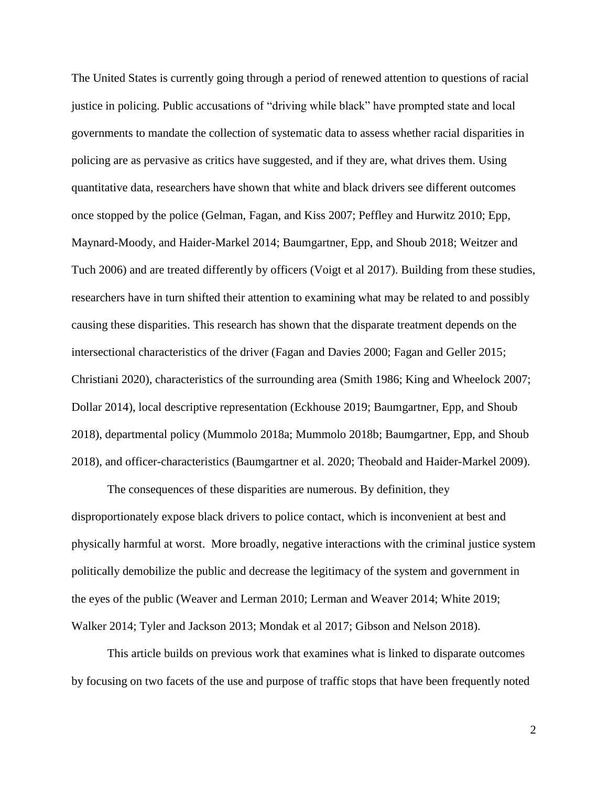The United States is currently going through a period of renewed attention to questions of racial justice in policing. Public accusations of "driving while black" have prompted state and local governments to mandate the collection of systematic data to assess whether racial disparities in policing are as pervasive as critics have suggested, and if they are, what drives them. Using quantitative data, researchers have shown that white and black drivers see different outcomes once stopped by the police (Gelman, Fagan, and Kiss 2007; Peffley and Hurwitz 2010; Epp, Maynard-Moody, and Haider-Markel 2014; Baumgartner, Epp, and Shoub 2018; Weitzer and Tuch 2006) and are treated differently by officers (Voigt et al 2017). Building from these studies, researchers have in turn shifted their attention to examining what may be related to and possibly causing these disparities. This research has shown that the disparate treatment depends on the intersectional characteristics of the driver (Fagan and Davies 2000; Fagan and Geller 2015; Christiani 2020), characteristics of the surrounding area (Smith 1986; King and Wheelock 2007; Dollar 2014), local descriptive representation (Eckhouse 2019; Baumgartner, Epp, and Shoub 2018), departmental policy (Mummolo 2018a; Mummolo 2018b; Baumgartner, Epp, and Shoub 2018), and officer-characteristics (Baumgartner et al. 2020; Theobald and Haider-Markel 2009).

The consequences of these disparities are numerous. By definition, they disproportionately expose black drivers to police contact, which is inconvenient at best and physically harmful at worst. More broadly, negative interactions with the criminal justice system politically demobilize the public and decrease the legitimacy of the system and government in the eyes of the public (Weaver and Lerman 2010; Lerman and Weaver 2014; White 2019; Walker 2014; Tyler and Jackson 2013; Mondak et al 2017; Gibson and Nelson 2018).

This article builds on previous work that examines what is linked to disparate outcomes by focusing on two facets of the use and purpose of traffic stops that have been frequently noted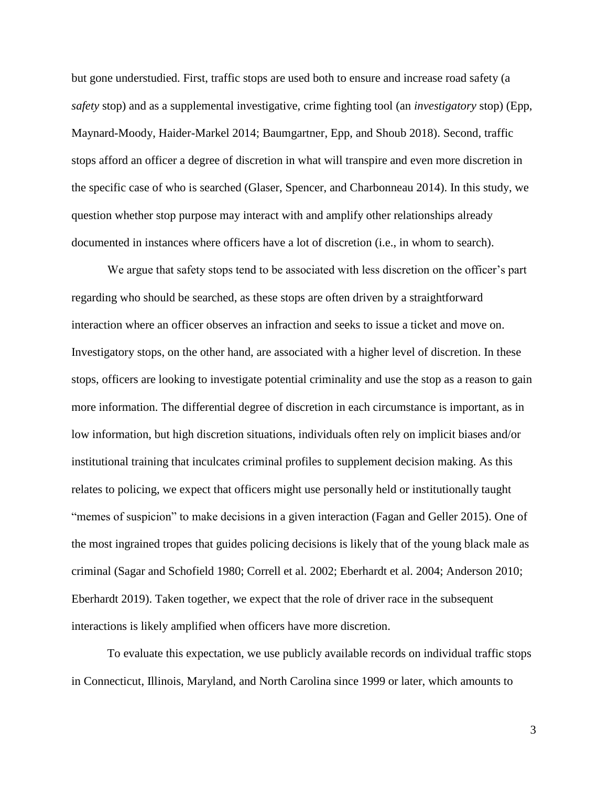but gone understudied. First, traffic stops are used both to ensure and increase road safety (a *safety* stop) and as a supplemental investigative, crime fighting tool (an *investigatory* stop) (Epp, Maynard-Moody, Haider-Markel 2014; Baumgartner, Epp, and Shoub 2018). Second, traffic stops afford an officer a degree of discretion in what will transpire and even more discretion in the specific case of who is searched (Glaser, Spencer, and Charbonneau 2014). In this study, we question whether stop purpose may interact with and amplify other relationships already documented in instances where officers have a lot of discretion (i.e., in whom to search).

We argue that safety stops tend to be associated with less discretion on the officer's part regarding who should be searched, as these stops are often driven by a straightforward interaction where an officer observes an infraction and seeks to issue a ticket and move on. Investigatory stops, on the other hand, are associated with a higher level of discretion. In these stops, officers are looking to investigate potential criminality and use the stop as a reason to gain more information. The differential degree of discretion in each circumstance is important, as in low information, but high discretion situations, individuals often rely on implicit biases and/or institutional training that inculcates criminal profiles to supplement decision making. As this relates to policing, we expect that officers might use personally held or institutionally taught "memes of suspicion" to make decisions in a given interaction (Fagan and Geller 2015). One of the most ingrained tropes that guides policing decisions is likely that of the young black male as criminal (Sagar and Schofield 1980; Correll et al. 2002; Eberhardt et al. 2004; Anderson 2010; Eberhardt 2019). Taken together, we expect that the role of driver race in the subsequent interactions is likely amplified when officers have more discretion.

To evaluate this expectation, we use publicly available records on individual traffic stops in Connecticut, Illinois, Maryland, and North Carolina since 1999 or later, which amounts to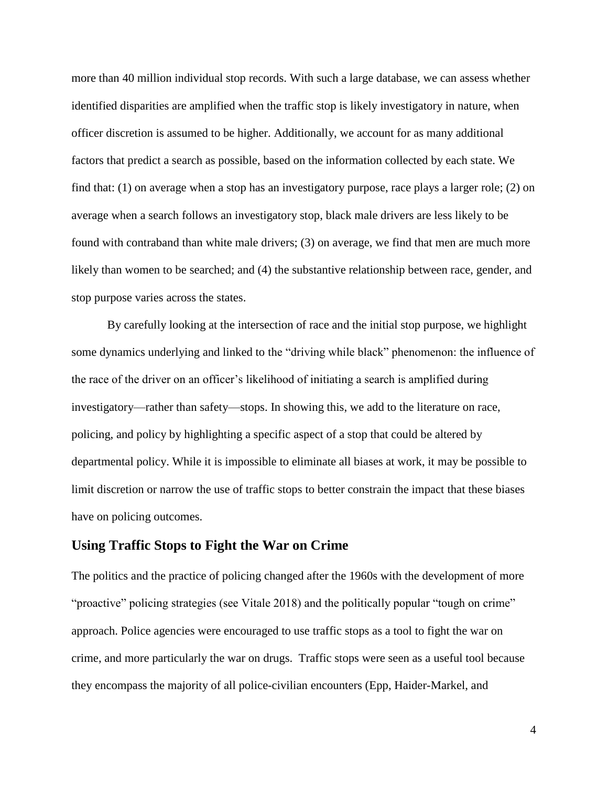more than 40 million individual stop records. With such a large database, we can assess whether identified disparities are amplified when the traffic stop is likely investigatory in nature, when officer discretion is assumed to be higher. Additionally, we account for as many additional factors that predict a search as possible, based on the information collected by each state. We find that: (1) on average when a stop has an investigatory purpose, race plays a larger role; (2) on average when a search follows an investigatory stop, black male drivers are less likely to be found with contraband than white male drivers; (3) on average, we find that men are much more likely than women to be searched; and (4) the substantive relationship between race, gender, and stop purpose varies across the states.

By carefully looking at the intersection of race and the initial stop purpose, we highlight some dynamics underlying and linked to the "driving while black" phenomenon: the influence of the race of the driver on an officer's likelihood of initiating a search is amplified during investigatory—rather than safety—stops. In showing this, we add to the literature on race, policing, and policy by highlighting a specific aspect of a stop that could be altered by departmental policy. While it is impossible to eliminate all biases at work, it may be possible to limit discretion or narrow the use of traffic stops to better constrain the impact that these biases have on policing outcomes.

## **Using Traffic Stops to Fight the War on Crime**

The politics and the practice of policing changed after the 1960s with the development of more "proactive" policing strategies (see Vitale 2018) and the politically popular "tough on crime" approach. Police agencies were encouraged to use traffic stops as a tool to fight the war on crime, and more particularly the war on drugs. Traffic stops were seen as a useful tool because they encompass the majority of all police-civilian encounters (Epp, Haider-Markel, and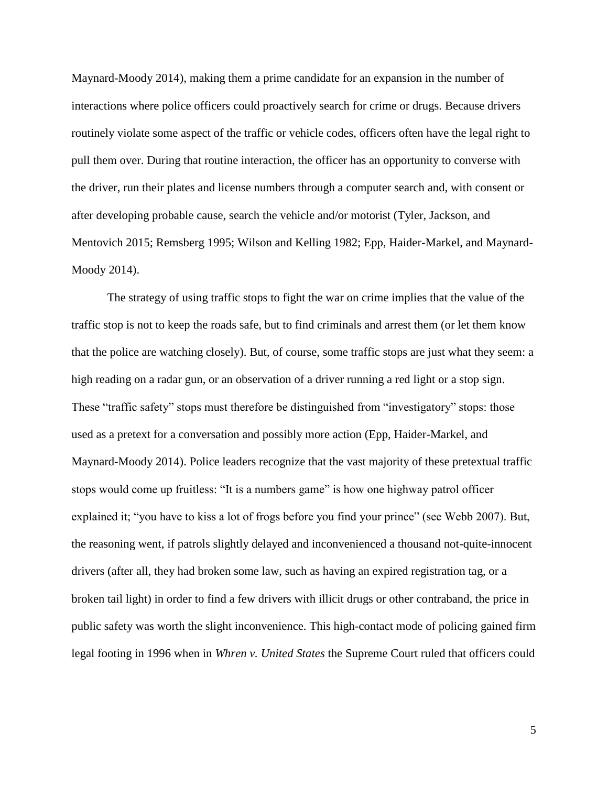Maynard-Moody 2014), making them a prime candidate for an expansion in the number of interactions where police officers could proactively search for crime or drugs. Because drivers routinely violate some aspect of the traffic or vehicle codes, officers often have the legal right to pull them over. During that routine interaction, the officer has an opportunity to converse with the driver, run their plates and license numbers through a computer search and, with consent or after developing probable cause, search the vehicle and/or motorist (Tyler, Jackson, and Mentovich 2015; Remsberg 1995; Wilson and Kelling 1982; Epp, Haider-Markel, and Maynard-Moody 2014).

The strategy of using traffic stops to fight the war on crime implies that the value of the traffic stop is not to keep the roads safe, but to find criminals and arrest them (or let them know that the police are watching closely). But, of course, some traffic stops are just what they seem: a high reading on a radar gun, or an observation of a driver running a red light or a stop sign. These "traffic safety" stops must therefore be distinguished from "investigatory" stops: those used as a pretext for a conversation and possibly more action (Epp, Haider-Markel, and Maynard-Moody 2014). Police leaders recognize that the vast majority of these pretextual traffic stops would come up fruitless: "It is a numbers game" is how one highway patrol officer explained it; "you have to kiss a lot of frogs before you find your prince" (see Webb 2007). But, the reasoning went, if patrols slightly delayed and inconvenienced a thousand not-quite-innocent drivers (after all, they had broken some law, such as having an expired registration tag, or a broken tail light) in order to find a few drivers with illicit drugs or other contraband, the price in public safety was worth the slight inconvenience. This high-contact mode of policing gained firm legal footing in 1996 when in *Whren v. United States* the Supreme Court ruled that officers could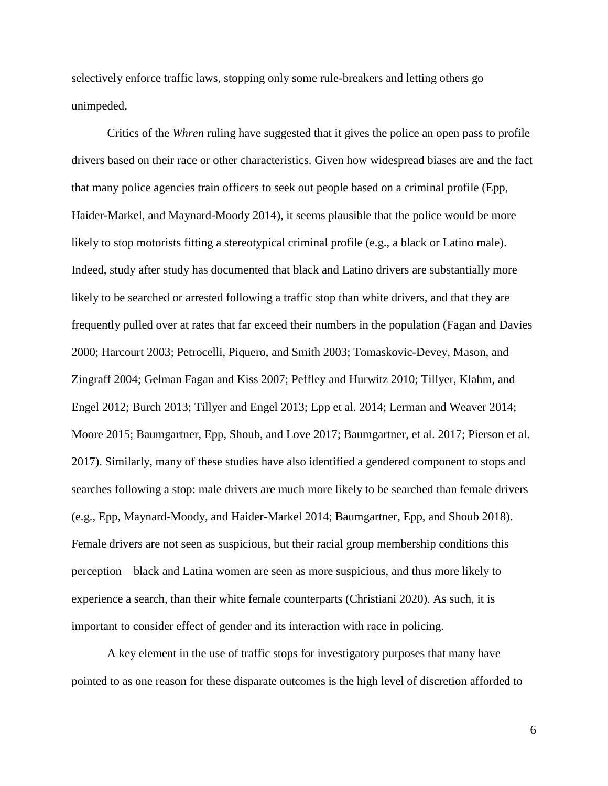selectively enforce traffic laws, stopping only some rule-breakers and letting others go unimpeded.

Critics of the *Whren* ruling have suggested that it gives the police an open pass to profile drivers based on their race or other characteristics. Given how widespread biases are and the fact that many police agencies train officers to seek out people based on a criminal profile (Epp, Haider-Markel, and Maynard-Moody 2014), it seems plausible that the police would be more likely to stop motorists fitting a stereotypical criminal profile (e.g., a black or Latino male). Indeed, study after study has documented that black and Latino drivers are substantially more likely to be searched or arrested following a traffic stop than white drivers, and that they are frequently pulled over at rates that far exceed their numbers in the population (Fagan and Davies 2000; Harcourt 2003; Petrocelli, Piquero, and Smith 2003; Tomaskovic-Devey, Mason, and Zingraff 2004; Gelman Fagan and Kiss 2007; Peffley and Hurwitz 2010; Tillyer, Klahm, and Engel 2012; Burch 2013; Tillyer and Engel 2013; Epp et al. 2014; Lerman and Weaver 2014; Moore 2015; Baumgartner, Epp, Shoub, and Love 2017; Baumgartner, et al. 2017; Pierson et al. 2017). Similarly, many of these studies have also identified a gendered component to stops and searches following a stop: male drivers are much more likely to be searched than female drivers (e.g., Epp, Maynard-Moody, and Haider-Markel 2014; Baumgartner, Epp, and Shoub 2018). Female drivers are not seen as suspicious, but their racial group membership conditions this perception – black and Latina women are seen as more suspicious, and thus more likely to experience a search, than their white female counterparts (Christiani 2020). As such, it is important to consider effect of gender and its interaction with race in policing.

A key element in the use of traffic stops for investigatory purposes that many have pointed to as one reason for these disparate outcomes is the high level of discretion afforded to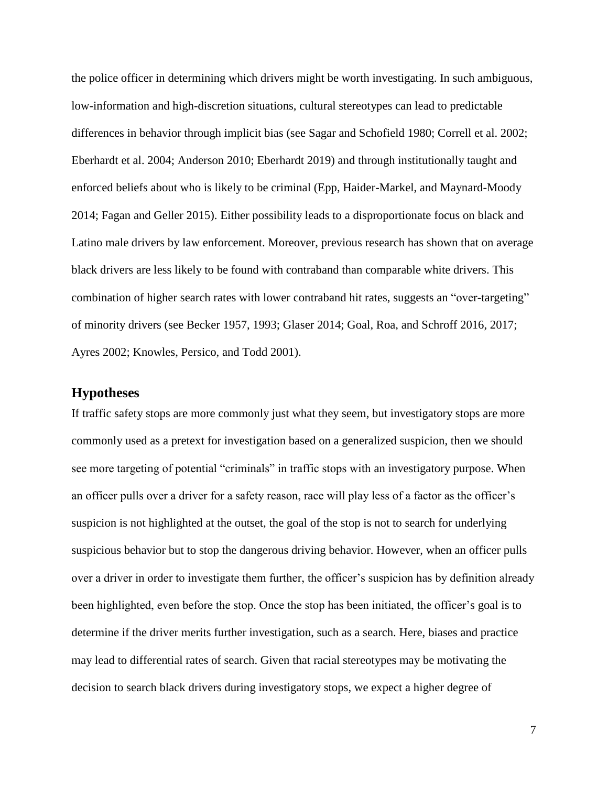the police officer in determining which drivers might be worth investigating. In such ambiguous, low-information and high-discretion situations, cultural stereotypes can lead to predictable differences in behavior through implicit bias (see Sagar and Schofield 1980; Correll et al. 2002; Eberhardt et al. 2004; Anderson 2010; Eberhardt 2019) and through institutionally taught and enforced beliefs about who is likely to be criminal (Epp, Haider-Markel, and Maynard-Moody 2014; Fagan and Geller 2015). Either possibility leads to a disproportionate focus on black and Latino male drivers by law enforcement. Moreover, previous research has shown that on average black drivers are less likely to be found with contraband than comparable white drivers. This combination of higher search rates with lower contraband hit rates, suggests an "over-targeting" of minority drivers (see Becker 1957, 1993; Glaser 2014; Goal, Roa, and Schroff 2016, 2017; Ayres 2002; Knowles, Persico, and Todd 2001).

# **Hypotheses**

If traffic safety stops are more commonly just what they seem, but investigatory stops are more commonly used as a pretext for investigation based on a generalized suspicion, then we should see more targeting of potential "criminals" in traffic stops with an investigatory purpose. When an officer pulls over a driver for a safety reason, race will play less of a factor as the officer's suspicion is not highlighted at the outset, the goal of the stop is not to search for underlying suspicious behavior but to stop the dangerous driving behavior. However, when an officer pulls over a driver in order to investigate them further, the officer's suspicion has by definition already been highlighted, even before the stop. Once the stop has been initiated, the officer's goal is to determine if the driver merits further investigation, such as a search. Here, biases and practice may lead to differential rates of search. Given that racial stereotypes may be motivating the decision to search black drivers during investigatory stops, we expect a higher degree of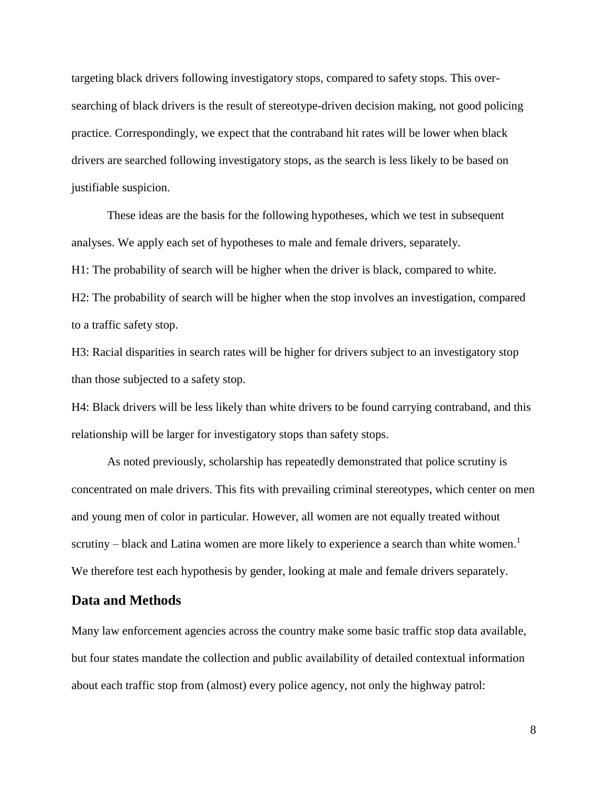targeting black drivers following investigatory stops, compared to safety stops. This oversearching of black drivers is the result of stereotype-driven decision making, not good policing practice. Correspondingly, we expect that the contraband hit rates will be lower when black drivers are searched following investigatory stops, as the search is less likely to be based on justifiable suspicion.

These ideas are the basis for the following hypotheses, which we test in subsequent analyses. We apply each set of hypotheses to male and female drivers, separately.

H1: The probability of search will be higher when the driver is black, compared to white.

H2: The probability of search will be higher when the stop involves an investigation, compared to a traffic safety stop.

H3: Racial disparities in search rates will be higher for drivers subject to an investigatory stop than those subjected to a safety stop.

H4: Black drivers will be less likely than white drivers to be found carrying contraband, and this relationship will be larger for investigatory stops than safety stops.

As noted previously, scholarship has repeatedly demonstrated that police scrutiny is concentrated on male drivers. This fits with prevailing criminal stereotypes, which center on men and young men of color in particular. However, all women are not equally treated without scrutiny – black and Latina women are more likely to experience a search than white women.<sup>1</sup> We therefore test each hypothesis by gender, looking at male and female drivers separately.

## **Data and Methods**

Many law enforcement agencies across the country make some basic traffic stop data available, but four states mandate the collection and public availability of detailed contextual information about each traffic stop from (almost) every police agency, not only the highway patrol: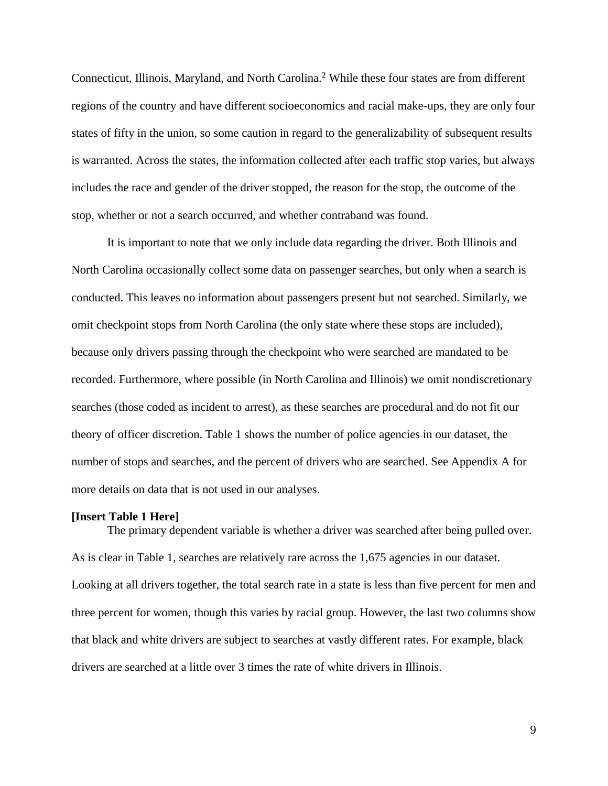Connecticut, Illinois, Maryland, and North Carolina.<sup>2</sup> While these four states are from different regions of the country and have different socioeconomics and racial make-ups, they are only four states of fifty in the union, so some caution in regard to the generalizability of subsequent results is warranted. Across the states, the information collected after each traffic stop varies, but always includes the race and gender of the driver stopped, the reason for the stop, the outcome of the stop, whether or not a search occurred, and whether contraband was found.

It is important to note that we only include data regarding the driver. Both Illinois and North Carolina occasionally collect some data on passenger searches, but only when a search is conducted. This leaves no information about passengers present but not searched. Similarly, we omit checkpoint stops from North Carolina (the only state where these stops are included), because only drivers passing through the checkpoint who were searched are mandated to be recorded. Furthermore, where possible (in North Carolina and Illinois) we omit nondiscretionary searches (those coded as incident to arrest), as these searches are procedural and do not fit our theory of officer discretion. Table 1 shows the number of police agencies in our dataset, the number of stops and searches, and the percent of drivers who are searched. See Appendix A for more details on data that is not used in our analyses.

## **[Insert Table 1 Here]**

The primary dependent variable is whether a driver was searched after being pulled over. As is clear in Table 1, searches are relatively rare across the 1,675 agencies in our dataset. Looking at all drivers together, the total search rate in a state is less than five percent for men and three percent for women, though this varies by racial group. However, the last two columns show that black and white drivers are subject to searches at vastly different rates. For example, black drivers are searched at a little over 3 times the rate of white drivers in Illinois.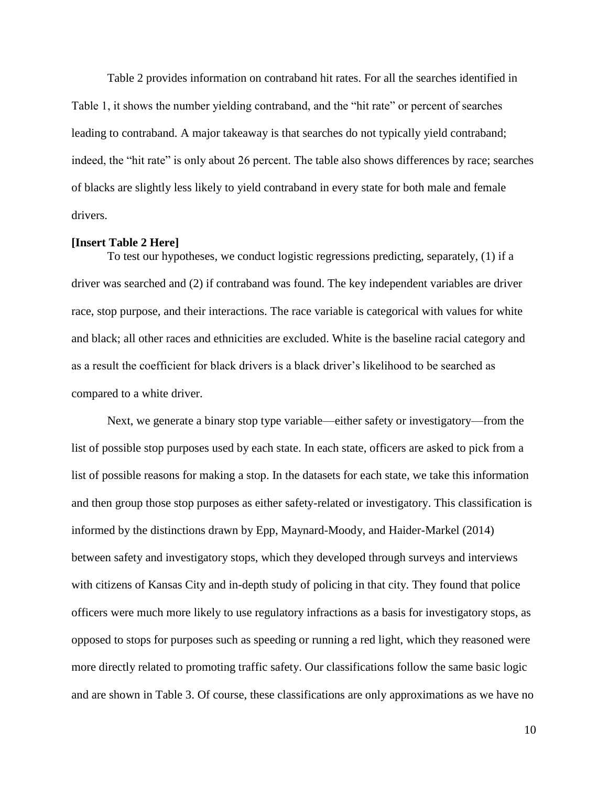Table 2 provides information on contraband hit rates. For all the searches identified in Table 1, it shows the number yielding contraband, and the "hit rate" or percent of searches leading to contraband. A major takeaway is that searches do not typically yield contraband; indeed, the "hit rate" is only about 26 percent. The table also shows differences by race; searches of blacks are slightly less likely to yield contraband in every state for both male and female drivers.

#### **[Insert Table 2 Here]**

To test our hypotheses, we conduct logistic regressions predicting, separately, (1) if a driver was searched and (2) if contraband was found. The key independent variables are driver race, stop purpose, and their interactions. The race variable is categorical with values for white and black; all other races and ethnicities are excluded. White is the baseline racial category and as a result the coefficient for black drivers is a black driver's likelihood to be searched as compared to a white driver.

Next, we generate a binary stop type variable—either safety or investigatory—from the list of possible stop purposes used by each state. In each state, officers are asked to pick from a list of possible reasons for making a stop. In the datasets for each state, we take this information and then group those stop purposes as either safety-related or investigatory. This classification is informed by the distinctions drawn by Epp, Maynard-Moody, and Haider-Markel (2014) between safety and investigatory stops, which they developed through surveys and interviews with citizens of Kansas City and in-depth study of policing in that city. They found that police officers were much more likely to use regulatory infractions as a basis for investigatory stops, as opposed to stops for purposes such as speeding or running a red light, which they reasoned were more directly related to promoting traffic safety. Our classifications follow the same basic logic and are shown in Table 3. Of course, these classifications are only approximations as we have no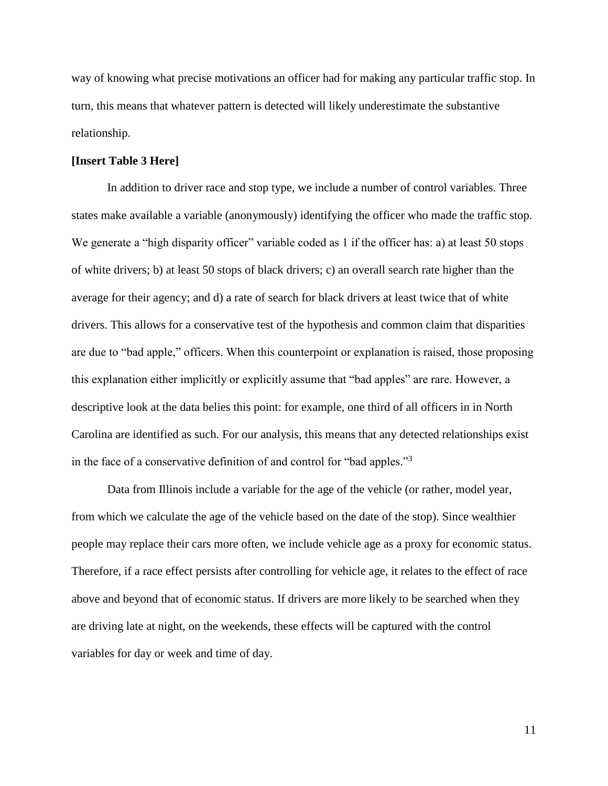way of knowing what precise motivations an officer had for making any particular traffic stop. In turn, this means that whatever pattern is detected will likely underestimate the substantive relationship.

## **[Insert Table 3 Here]**

In addition to driver race and stop type, we include a number of control variables. Three states make available a variable (anonymously) identifying the officer who made the traffic stop. We generate a "high disparity officer" variable coded as 1 if the officer has: a) at least 50 stops of white drivers; b) at least 50 stops of black drivers; c) an overall search rate higher than the average for their agency; and d) a rate of search for black drivers at least twice that of white drivers. This allows for a conservative test of the hypothesis and common claim that disparities are due to "bad apple," officers. When this counterpoint or explanation is raised, those proposing this explanation either implicitly or explicitly assume that "bad apples" are rare. However, a descriptive look at the data belies this point: for example, one third of all officers in in North Carolina are identified as such. For our analysis, this means that any detected relationships exist in the face of a conservative definition of and control for "bad apples."<sup>3</sup>

Data from Illinois include a variable for the age of the vehicle (or rather, model year, from which we calculate the age of the vehicle based on the date of the stop). Since wealthier people may replace their cars more often, we include vehicle age as a proxy for economic status. Therefore, if a race effect persists after controlling for vehicle age, it relates to the effect of race above and beyond that of economic status. If drivers are more likely to be searched when they are driving late at night, on the weekends, these effects will be captured with the control variables for day or week and time of day.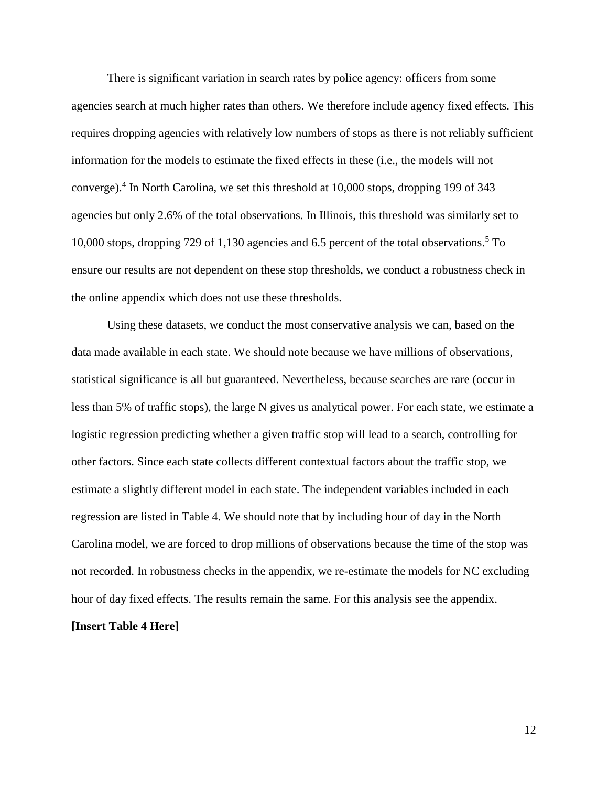There is significant variation in search rates by police agency: officers from some agencies search at much higher rates than others. We therefore include agency fixed effects. This requires dropping agencies with relatively low numbers of stops as there is not reliably sufficient information for the models to estimate the fixed effects in these (i.e., the models will not converge).<sup>4</sup> In North Carolina, we set this threshold at 10,000 stops, dropping 199 of 343 agencies but only 2.6% of the total observations. In Illinois, this threshold was similarly set to 10,000 stops, dropping 729 of 1,130 agencies and 6.5 percent of the total observations.<sup>5</sup> To ensure our results are not dependent on these stop thresholds, we conduct a robustness check in the online appendix which does not use these thresholds.

Using these datasets, we conduct the most conservative analysis we can, based on the data made available in each state. We should note because we have millions of observations, statistical significance is all but guaranteed. Nevertheless, because searches are rare (occur in less than 5% of traffic stops), the large N gives us analytical power. For each state, we estimate a logistic regression predicting whether a given traffic stop will lead to a search, controlling for other factors. Since each state collects different contextual factors about the traffic stop, we estimate a slightly different model in each state. The independent variables included in each regression are listed in Table 4. We should note that by including hour of day in the North Carolina model, we are forced to drop millions of observations because the time of the stop was not recorded. In robustness checks in the appendix, we re-estimate the models for NC excluding hour of day fixed effects. The results remain the same. For this analysis see the appendix.

#### **[Insert Table 4 Here]**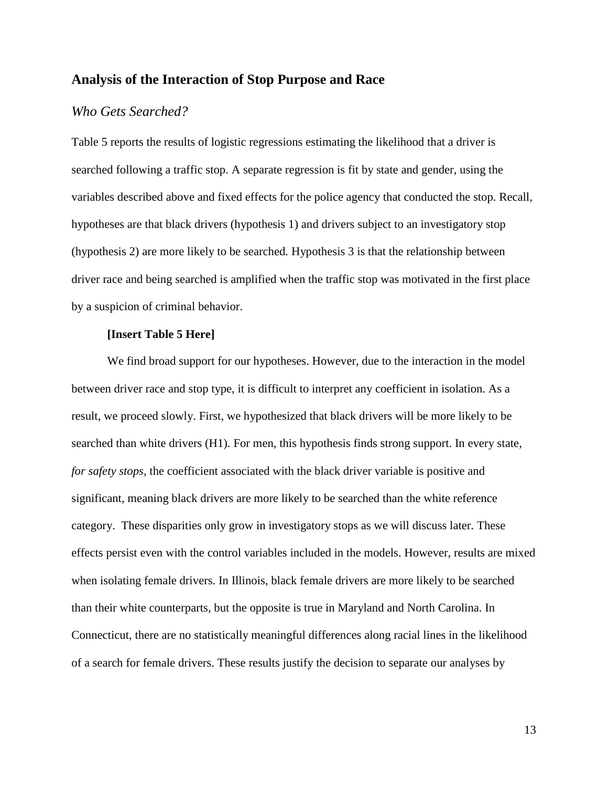## **Analysis of the Interaction of Stop Purpose and Race**

# *Who Gets Searched?*

Table 5 reports the results of logistic regressions estimating the likelihood that a driver is searched following a traffic stop. A separate regression is fit by state and gender, using the variables described above and fixed effects for the police agency that conducted the stop. Recall, hypotheses are that black drivers (hypothesis 1) and drivers subject to an investigatory stop (hypothesis 2) are more likely to be searched. Hypothesis 3 is that the relationship between driver race and being searched is amplified when the traffic stop was motivated in the first place by a suspicion of criminal behavior.

#### **[Insert Table 5 Here]**

We find broad support for our hypotheses. However, due to the interaction in the model between driver race and stop type, it is difficult to interpret any coefficient in isolation. As a result, we proceed slowly. First, we hypothesized that black drivers will be more likely to be searched than white drivers (H1). For men, this hypothesis finds strong support. In every state, *for safety stops,* the coefficient associated with the black driver variable is positive and significant, meaning black drivers are more likely to be searched than the white reference category. These disparities only grow in investigatory stops as we will discuss later. These effects persist even with the control variables included in the models. However, results are mixed when isolating female drivers. In Illinois, black female drivers are more likely to be searched than their white counterparts, but the opposite is true in Maryland and North Carolina. In Connecticut, there are no statistically meaningful differences along racial lines in the likelihood of a search for female drivers. These results justify the decision to separate our analyses by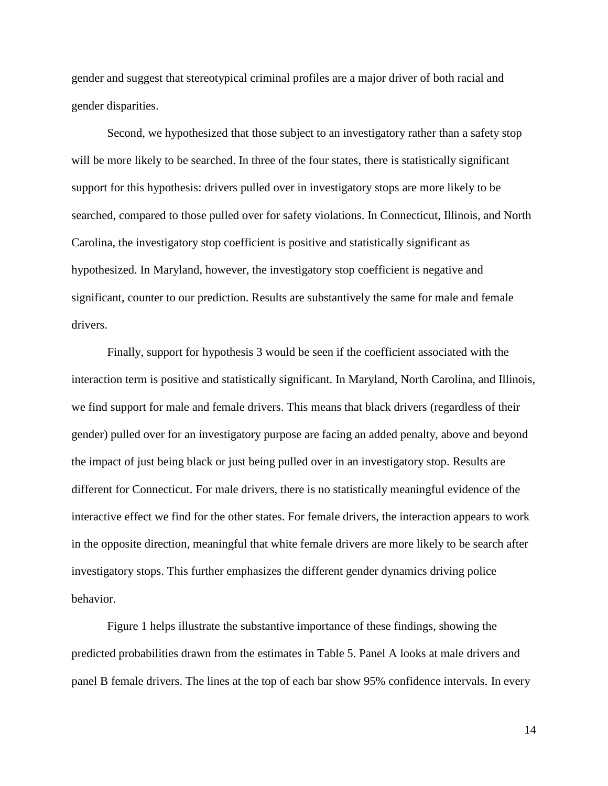gender and suggest that stereotypical criminal profiles are a major driver of both racial and gender disparities.

Second, we hypothesized that those subject to an investigatory rather than a safety stop will be more likely to be searched. In three of the four states, there is statistically significant support for this hypothesis: drivers pulled over in investigatory stops are more likely to be searched, compared to those pulled over for safety violations. In Connecticut, Illinois, and North Carolina, the investigatory stop coefficient is positive and statistically significant as hypothesized. In Maryland, however, the investigatory stop coefficient is negative and significant, counter to our prediction. Results are substantively the same for male and female drivers.

Finally, support for hypothesis 3 would be seen if the coefficient associated with the interaction term is positive and statistically significant. In Maryland, North Carolina, and Illinois, we find support for male and female drivers. This means that black drivers (regardless of their gender) pulled over for an investigatory purpose are facing an added penalty, above and beyond the impact of just being black or just being pulled over in an investigatory stop. Results are different for Connecticut. For male drivers, there is no statistically meaningful evidence of the interactive effect we find for the other states. For female drivers, the interaction appears to work in the opposite direction, meaningful that white female drivers are more likely to be search after investigatory stops. This further emphasizes the different gender dynamics driving police behavior.

Figure 1 helps illustrate the substantive importance of these findings, showing the predicted probabilities drawn from the estimates in Table 5. Panel A looks at male drivers and panel B female drivers. The lines at the top of each bar show 95% confidence intervals. In every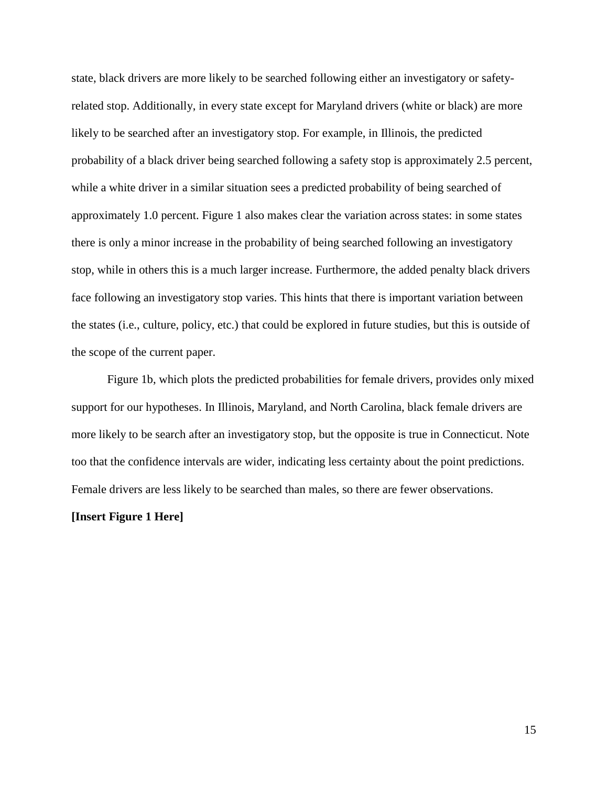state, black drivers are more likely to be searched following either an investigatory or safetyrelated stop. Additionally, in every state except for Maryland drivers (white or black) are more likely to be searched after an investigatory stop. For example, in Illinois, the predicted probability of a black driver being searched following a safety stop is approximately 2.5 percent, while a white driver in a similar situation sees a predicted probability of being searched of approximately 1.0 percent. Figure 1 also makes clear the variation across states: in some states there is only a minor increase in the probability of being searched following an investigatory stop, while in others this is a much larger increase. Furthermore, the added penalty black drivers face following an investigatory stop varies. This hints that there is important variation between the states (i.e., culture, policy, etc.) that could be explored in future studies, but this is outside of the scope of the current paper.

Figure 1b, which plots the predicted probabilities for female drivers, provides only mixed support for our hypotheses. In Illinois, Maryland, and North Carolina, black female drivers are more likely to be search after an investigatory stop, but the opposite is true in Connecticut. Note too that the confidence intervals are wider, indicating less certainty about the point predictions. Female drivers are less likely to be searched than males, so there are fewer observations.

#### **[Insert Figure 1 Here]**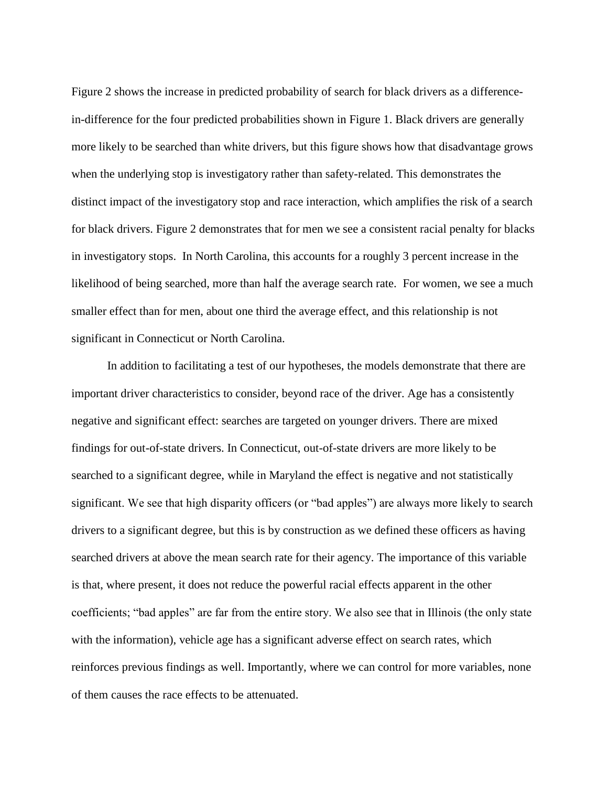Figure 2 shows the increase in predicted probability of search for black drivers as a differencein-difference for the four predicted probabilities shown in Figure 1. Black drivers are generally more likely to be searched than white drivers, but this figure shows how that disadvantage grows when the underlying stop is investigatory rather than safety-related. This demonstrates the distinct impact of the investigatory stop and race interaction, which amplifies the risk of a search for black drivers. Figure 2 demonstrates that for men we see a consistent racial penalty for blacks in investigatory stops. In North Carolina, this accounts for a roughly 3 percent increase in the likelihood of being searched, more than half the average search rate. For women, we see a much smaller effect than for men, about one third the average effect, and this relationship is not significant in Connecticut or North Carolina.

In addition to facilitating a test of our hypotheses, the models demonstrate that there are important driver characteristics to consider, beyond race of the driver. Age has a consistently negative and significant effect: searches are targeted on younger drivers. There are mixed findings for out-of-state drivers. In Connecticut, out-of-state drivers are more likely to be searched to a significant degree, while in Maryland the effect is negative and not statistically significant. We see that high disparity officers (or "bad apples") are always more likely to search drivers to a significant degree, but this is by construction as we defined these officers as having searched drivers at above the mean search rate for their agency. The importance of this variable is that, where present, it does not reduce the powerful racial effects apparent in the other coefficients; "bad apples" are far from the entire story. We also see that in Illinois (the only state with the information), vehicle age has a significant adverse effect on search rates, which reinforces previous findings as well. Importantly, where we can control for more variables, none of them causes the race effects to be attenuated.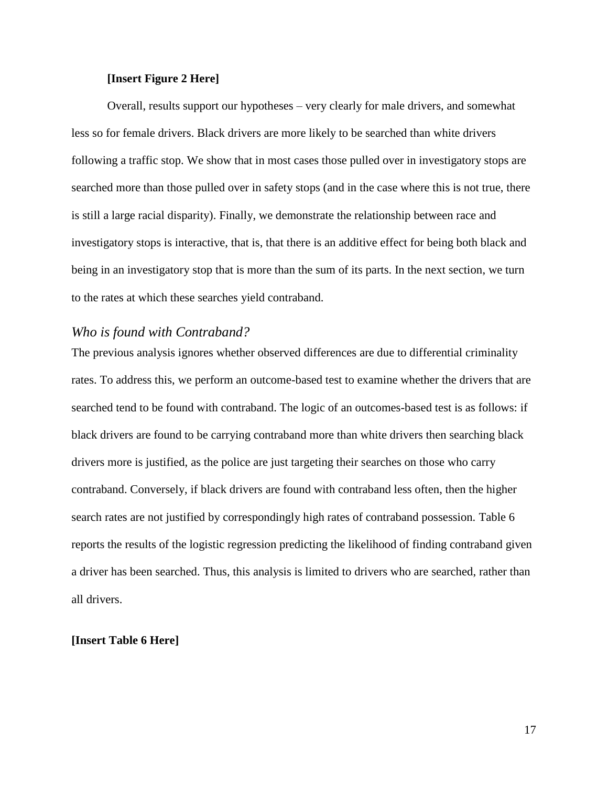## **[Insert Figure 2 Here]**

Overall, results support our hypotheses – very clearly for male drivers, and somewhat less so for female drivers. Black drivers are more likely to be searched than white drivers following a traffic stop. We show that in most cases those pulled over in investigatory stops are searched more than those pulled over in safety stops (and in the case where this is not true, there is still a large racial disparity). Finally, we demonstrate the relationship between race and investigatory stops is interactive, that is, that there is an additive effect for being both black and being in an investigatory stop that is more than the sum of its parts. In the next section, we turn to the rates at which these searches yield contraband.

## *Who is found with Contraband?*

The previous analysis ignores whether observed differences are due to differential criminality rates. To address this, we perform an outcome-based test to examine whether the drivers that are searched tend to be found with contraband. The logic of an outcomes-based test is as follows: if black drivers are found to be carrying contraband more than white drivers then searching black drivers more is justified, as the police are just targeting their searches on those who carry contraband. Conversely, if black drivers are found with contraband less often, then the higher search rates are not justified by correspondingly high rates of contraband possession. Table 6 reports the results of the logistic regression predicting the likelihood of finding contraband given a driver has been searched. Thus, this analysis is limited to drivers who are searched, rather than all drivers.

## **[Insert Table 6 Here]**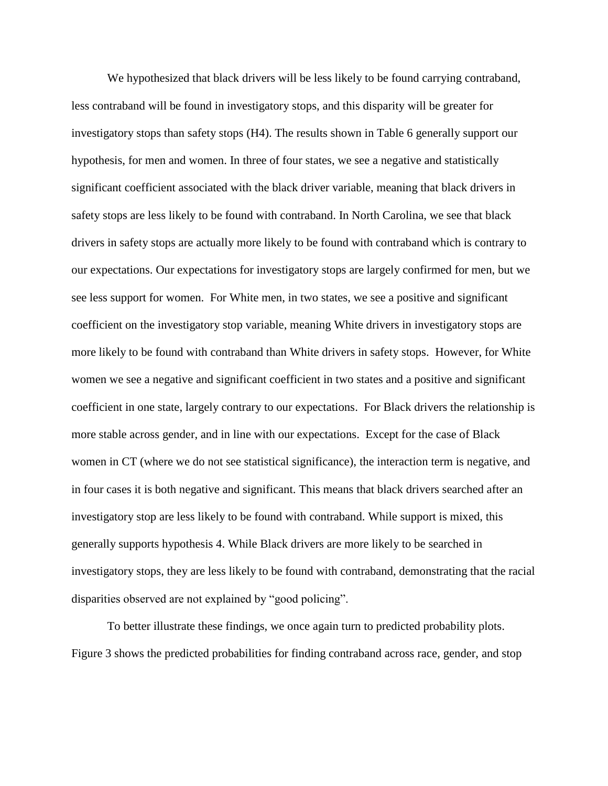We hypothesized that black drivers will be less likely to be found carrying contraband, less contraband will be found in investigatory stops, and this disparity will be greater for investigatory stops than safety stops (H4). The results shown in Table 6 generally support our hypothesis, for men and women. In three of four states, we see a negative and statistically significant coefficient associated with the black driver variable, meaning that black drivers in safety stops are less likely to be found with contraband. In North Carolina, we see that black drivers in safety stops are actually more likely to be found with contraband which is contrary to our expectations. Our expectations for investigatory stops are largely confirmed for men, but we see less support for women. For White men, in two states, we see a positive and significant coefficient on the investigatory stop variable, meaning White drivers in investigatory stops are more likely to be found with contraband than White drivers in safety stops. However, for White women we see a negative and significant coefficient in two states and a positive and significant coefficient in one state, largely contrary to our expectations. For Black drivers the relationship is more stable across gender, and in line with our expectations. Except for the case of Black women in CT (where we do not see statistical significance), the interaction term is negative, and in four cases it is both negative and significant. This means that black drivers searched after an investigatory stop are less likely to be found with contraband. While support is mixed, this generally supports hypothesis 4. While Black drivers are more likely to be searched in investigatory stops, they are less likely to be found with contraband, demonstrating that the racial disparities observed are not explained by "good policing".

To better illustrate these findings, we once again turn to predicted probability plots. Figure 3 shows the predicted probabilities for finding contraband across race, gender, and stop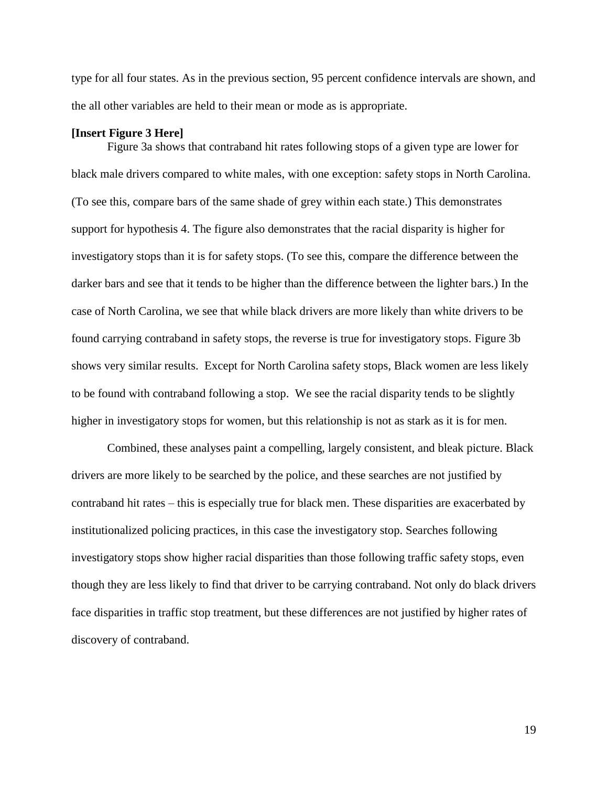type for all four states. As in the previous section, 95 percent confidence intervals are shown, and the all other variables are held to their mean or mode as is appropriate.

#### **[Insert Figure 3 Here]**

Figure 3a shows that contraband hit rates following stops of a given type are lower for black male drivers compared to white males, with one exception: safety stops in North Carolina. (To see this, compare bars of the same shade of grey within each state.) This demonstrates support for hypothesis 4. The figure also demonstrates that the racial disparity is higher for investigatory stops than it is for safety stops. (To see this, compare the difference between the darker bars and see that it tends to be higher than the difference between the lighter bars.) In the case of North Carolina, we see that while black drivers are more likely than white drivers to be found carrying contraband in safety stops, the reverse is true for investigatory stops. Figure 3b shows very similar results. Except for North Carolina safety stops, Black women are less likely to be found with contraband following a stop. We see the racial disparity tends to be slightly higher in investigatory stops for women, but this relationship is not as stark as it is for men.

Combined, these analyses paint a compelling, largely consistent, and bleak picture. Black drivers are more likely to be searched by the police, and these searches are not justified by contraband hit rates – this is especially true for black men. These disparities are exacerbated by institutionalized policing practices, in this case the investigatory stop. Searches following investigatory stops show higher racial disparities than those following traffic safety stops, even though they are less likely to find that driver to be carrying contraband. Not only do black drivers face disparities in traffic stop treatment, but these differences are not justified by higher rates of discovery of contraband.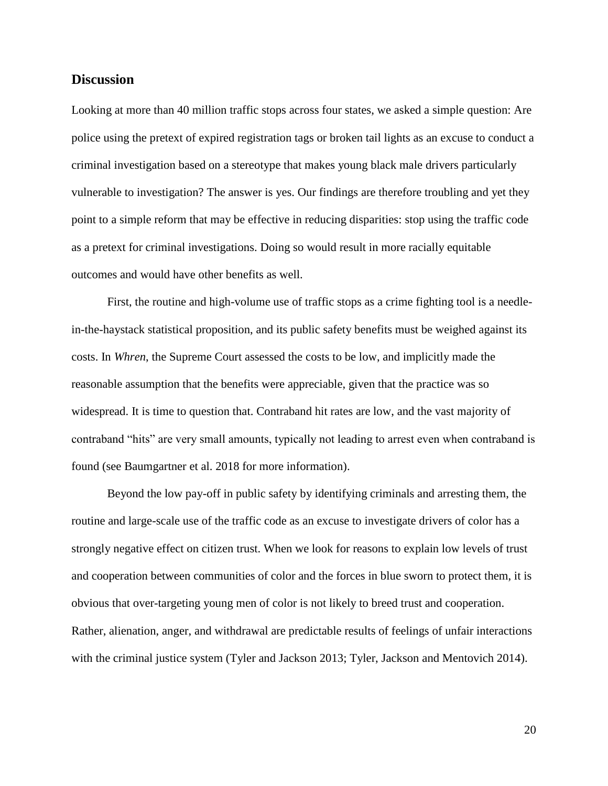## **Discussion**

Looking at more than 40 million traffic stops across four states, we asked a simple question: Are police using the pretext of expired registration tags or broken tail lights as an excuse to conduct a criminal investigation based on a stereotype that makes young black male drivers particularly vulnerable to investigation? The answer is yes. Our findings are therefore troubling and yet they point to a simple reform that may be effective in reducing disparities: stop using the traffic code as a pretext for criminal investigations. Doing so would result in more racially equitable outcomes and would have other benefits as well.

First, the routine and high-volume use of traffic stops as a crime fighting tool is a needlein-the-haystack statistical proposition, and its public safety benefits must be weighed against its costs. In *Whren*, the Supreme Court assessed the costs to be low, and implicitly made the reasonable assumption that the benefits were appreciable, given that the practice was so widespread. It is time to question that. Contraband hit rates are low, and the vast majority of contraband "hits" are very small amounts, typically not leading to arrest even when contraband is found (see Baumgartner et al. 2018 for more information).

Beyond the low pay-off in public safety by identifying criminals and arresting them, the routine and large-scale use of the traffic code as an excuse to investigate drivers of color has a strongly negative effect on citizen trust. When we look for reasons to explain low levels of trust and cooperation between communities of color and the forces in blue sworn to protect them, it is obvious that over-targeting young men of color is not likely to breed trust and cooperation. Rather, alienation, anger, and withdrawal are predictable results of feelings of unfair interactions with the criminal justice system (Tyler and Jackson 2013; Tyler, Jackson and Mentovich 2014).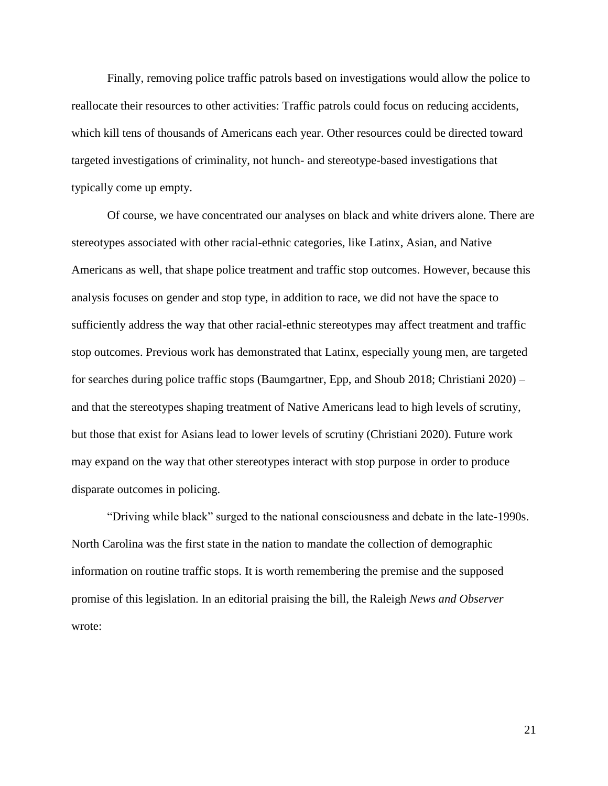Finally, removing police traffic patrols based on investigations would allow the police to reallocate their resources to other activities: Traffic patrols could focus on reducing accidents, which kill tens of thousands of Americans each year. Other resources could be directed toward targeted investigations of criminality, not hunch- and stereotype-based investigations that typically come up empty.

Of course, we have concentrated our analyses on black and white drivers alone. There are stereotypes associated with other racial-ethnic categories, like Latinx, Asian, and Native Americans as well, that shape police treatment and traffic stop outcomes. However, because this analysis focuses on gender and stop type, in addition to race, we did not have the space to sufficiently address the way that other racial-ethnic stereotypes may affect treatment and traffic stop outcomes. Previous work has demonstrated that Latinx, especially young men, are targeted for searches during police traffic stops (Baumgartner, Epp, and Shoub 2018; Christiani 2020) – and that the stereotypes shaping treatment of Native Americans lead to high levels of scrutiny, but those that exist for Asians lead to lower levels of scrutiny (Christiani 2020). Future work may expand on the way that other stereotypes interact with stop purpose in order to produce disparate outcomes in policing.

"Driving while black" surged to the national consciousness and debate in the late-1990s. North Carolina was the first state in the nation to mandate the collection of demographic information on routine traffic stops. It is worth remembering the premise and the supposed promise of this legislation. In an editorial praising the bill, the Raleigh *News and Observer* wrote: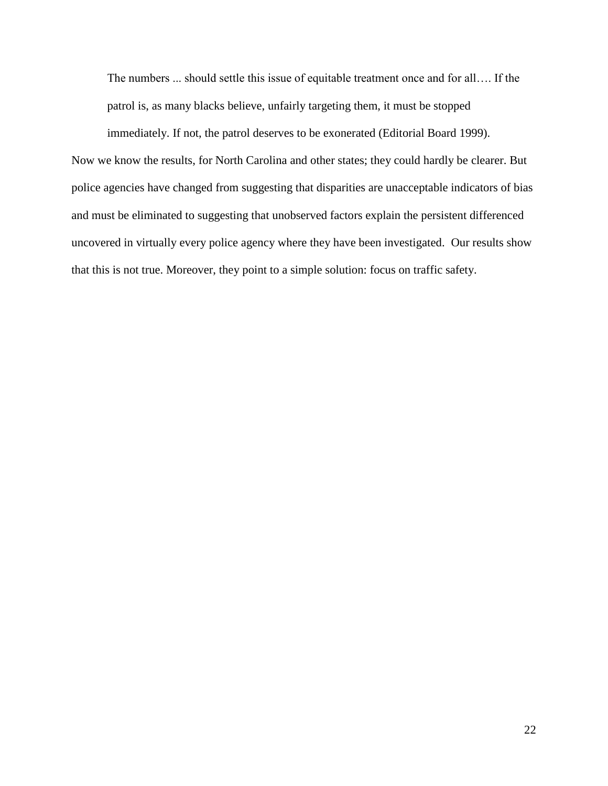The numbers ... should settle this issue of equitable treatment once and for all…. If the patrol is, as many blacks believe, unfairly targeting them, it must be stopped

immediately. If not, the patrol deserves to be exonerated (Editorial Board 1999). Now we know the results, for North Carolina and other states; they could hardly be clearer. But police agencies have changed from suggesting that disparities are unacceptable indicators of bias and must be eliminated to suggesting that unobserved factors explain the persistent differenced uncovered in virtually every police agency where they have been investigated. Our results show that this is not true. Moreover, they point to a simple solution: focus on traffic safety.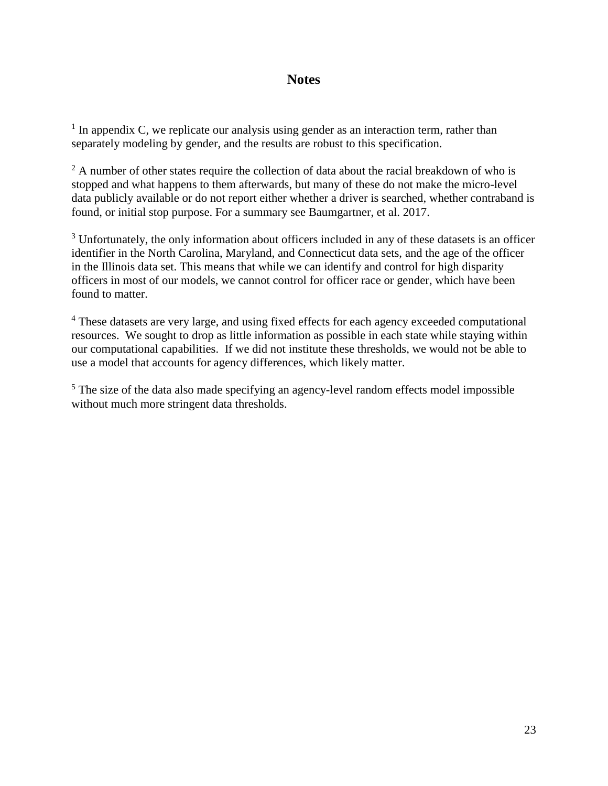# **Notes**

 $<sup>1</sup>$  In appendix C, we replicate our analysis using gender as an interaction term, rather than</sup> separately modeling by gender, and the results are robust to this specification.

 $2 \text{ A number of other states require the collection of data about the racial breakdown of who is }$ stopped and what happens to them afterwards, but many of these do not make the micro-level data publicly available or do not report either whether a driver is searched, whether contraband is found, or initial stop purpose. For a summary see Baumgartner, et al. 2017.

<sup>3</sup> Unfortunately, the only information about officers included in any of these datasets is an officer identifier in the North Carolina, Maryland, and Connecticut data sets, and the age of the officer in the Illinois data set. This means that while we can identify and control for high disparity officers in most of our models, we cannot control for officer race or gender, which have been found to matter.

<sup>4</sup> These datasets are very large, and using fixed effects for each agency exceeded computational resources. We sought to drop as little information as possible in each state while staying within our computational capabilities. If we did not institute these thresholds, we would not be able to use a model that accounts for agency differences, which likely matter.

<sup>5</sup> The size of the data also made specifying an agency-level random effects model impossible without much more stringent data thresholds.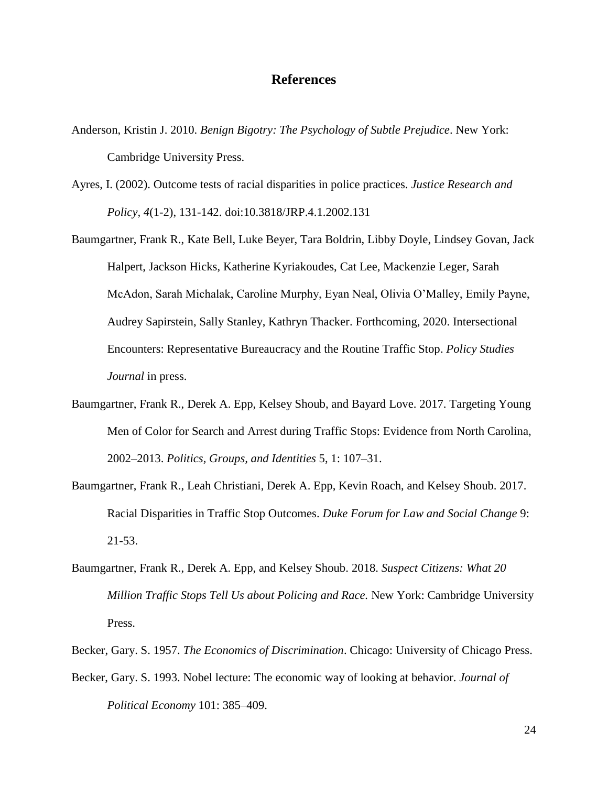# **References**

- Anderson, Kristin J. 2010. *Benign Bigotry: The Psychology of Subtle Prejudice*. New York: Cambridge University Press.
- Ayres, I. (2002). Outcome tests of racial disparities in police practices. *Justice Research and Policy, 4*(1-2), 131-142. doi:10.3818/JRP.4.1.2002.131
- Baumgartner, Frank R., Kate Bell, Luke Beyer, Tara Boldrin, Libby Doyle, Lindsey Govan, Jack Halpert, Jackson Hicks, Katherine Kyriakoudes, Cat Lee, Mackenzie Leger, Sarah McAdon, Sarah Michalak, Caroline Murphy, Eyan Neal, Olivia O'Malley, Emily Payne, Audrey Sapirstein, Sally Stanley, Kathryn Thacker. Forthcoming, 2020. Intersectional Encounters: Representative Bureaucracy and the Routine Traffic Stop. *Policy Studies Journal* in press.
- Baumgartner, Frank R., Derek A. Epp, Kelsey Shoub, and Bayard Love. 2017. Targeting Young Men of Color for Search and Arrest during Traffic Stops: Evidence from North Carolina, 2002–2013. *Politics, Groups, and Identities* 5, 1: 107–31.
- Baumgartner, Frank R., Leah Christiani, Derek A. Epp, Kevin Roach, and Kelsey Shoub. 2017. Racial Disparities in Traffic Stop Outcomes. *Duke Forum for Law and Social Change* 9: 21-53.
- Baumgartner, Frank R., Derek A. Epp, and Kelsey Shoub. 2018. *Suspect Citizens: What 20 Million Traffic Stops Tell Us about Policing and Race.* New York: Cambridge University Press.
- Becker, Gary. S. 1957. *The Economics of Discrimination*. Chicago: University of Chicago Press.
- Becker, Gary. S. 1993. Nobel lecture: The economic way of looking at behavior. *Journal of Political Economy* 101: 385–409.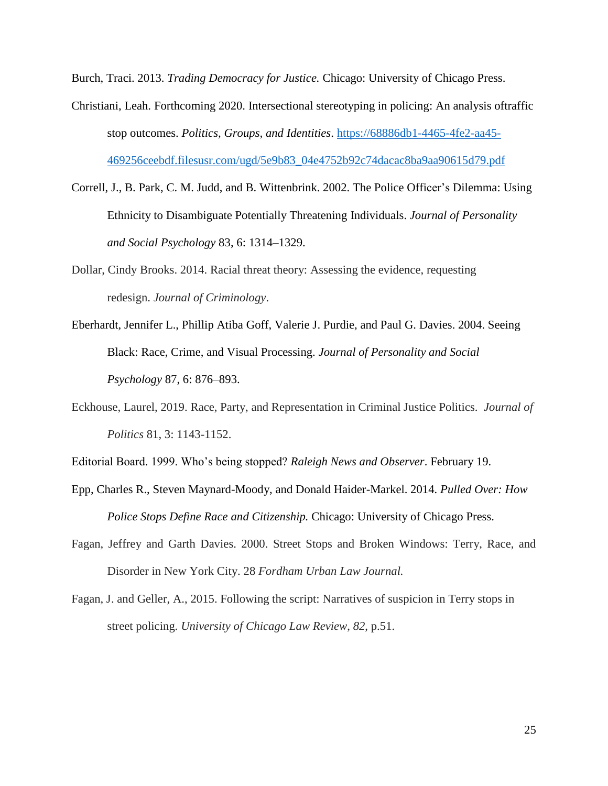Burch, Traci. 2013. *Trading Democracy for Justice.* Chicago: University of Chicago Press.

- Christiani, Leah. Forthcoming 2020. Intersectional stereotyping in policing: An analysis oftraffic stop outcomes. *Politics, Groups, and Identities*. [https://68886db1-4465-4fe2-aa45-](https://68886db1-4465-4fe2-aa45-469256ceebdf.filesusr.com/ugd/5e9b83_04e4752b92c74dacac8ba9aa90615d79.pdf) [469256ceebdf.filesusr.com/ugd/5e9b83\\_04e4752b92c74dacac8ba9aa90615d79.pdf](https://68886db1-4465-4fe2-aa45-469256ceebdf.filesusr.com/ugd/5e9b83_04e4752b92c74dacac8ba9aa90615d79.pdf)
- Correll, J., B. Park, C. M. Judd, and B. Wittenbrink. 2002. The Police Officer's Dilemma: Using Ethnicity to Disambiguate Potentially Threatening Individuals. *Journal of Personality and Social Psychology* 83, 6: 1314–1329.
- Dollar, Cindy Brooks. 2014. Racial threat theory: Assessing the evidence, requesting redesign. *Journal of Criminology*.
- Eberhardt, Jennifer L., Phillip Atiba Goff, Valerie J. Purdie, and Paul G. Davies. 2004. Seeing Black: Race, Crime, and Visual Processing. *Journal of Personality and Social Psychology* 87, 6: 876–893.
- Eckhouse, Laurel, 2019. Race, Party, and Representation in Criminal Justice Politics. *Journal of Politics* 81, 3: 1143-1152.
- Editorial Board. 1999. Who's being stopped? *Raleigh News and Observer*. February 19.
- Epp, Charles R., Steven Maynard-Moody, and Donald Haider-Markel. 2014. *Pulled Over: How Police Stops Define Race and Citizenship.* Chicago: University of Chicago Press.
- Fagan, Jeffrey and Garth Davies. 2000. Street Stops and Broken Windows: Terry, Race, and Disorder in New York City. 28 *Fordham Urban Law Journal.*
- Fagan, J. and Geller, A., 2015. Following the script: Narratives of suspicion in Terry stops in street policing. *University of Chicago Law Review*, *82*, p.51.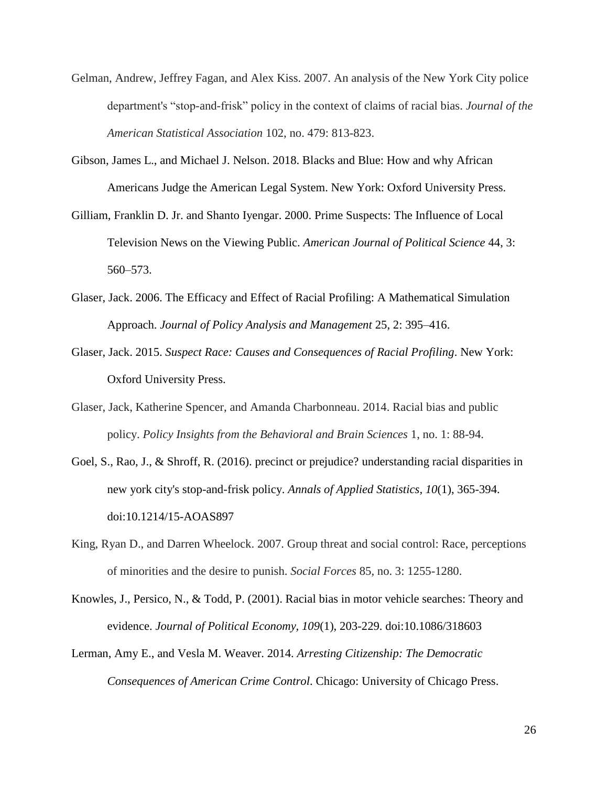- Gelman, Andrew, Jeffrey Fagan, and Alex Kiss. 2007. An analysis of the New York City police department's "stop-and-frisk" policy in the context of claims of racial bias. *Journal of the American Statistical Association* 102, no. 479: 813-823.
- Gibson, James L., and Michael J. Nelson. 2018. Blacks and Blue: How and why African Americans Judge the American Legal System. New York: Oxford University Press.
- Gilliam, Franklin D. Jr. and Shanto Iyengar. 2000. Prime Suspects: The Influence of Local Television News on the Viewing Public. *American Journal of Political Science* 44, 3: 560–573.
- Glaser, Jack. 2006. The Efficacy and Effect of Racial Profiling: A Mathematical Simulation Approach. *Journal of Policy Analysis and Management* 25, 2: 395–416.
- Glaser, Jack. 2015. *Suspect Race: Causes and Consequences of Racial Profiling*. New York: Oxford University Press.
- Glaser, Jack, Katherine Spencer, and Amanda Charbonneau. 2014. Racial bias and public policy. *Policy Insights from the Behavioral and Brain Sciences* 1, no. 1: 88-94.
- Goel, S., Rao, J., & Shroff, R. (2016). precinct or prejudice? understanding racial disparities in new york city's stop-and-frisk policy. *Annals of Applied Statistics, 10*(1), 365-394. doi:10.1214/15-AOAS897
- King, Ryan D., and Darren Wheelock. 2007. Group threat and social control: Race, perceptions of minorities and the desire to punish. *Social Forces* 85, no. 3: 1255-1280.
- Knowles, J., Persico, N., & Todd, P. (2001). Racial bias in motor vehicle searches: Theory and evidence. *Journal of Political Economy, 109*(1), 203-229. doi:10.1086/318603
- Lerman, Amy E., and Vesla M. Weaver. 2014. *Arresting Citizenship: The Democratic Consequences of American Crime Control*. Chicago: University of Chicago Press.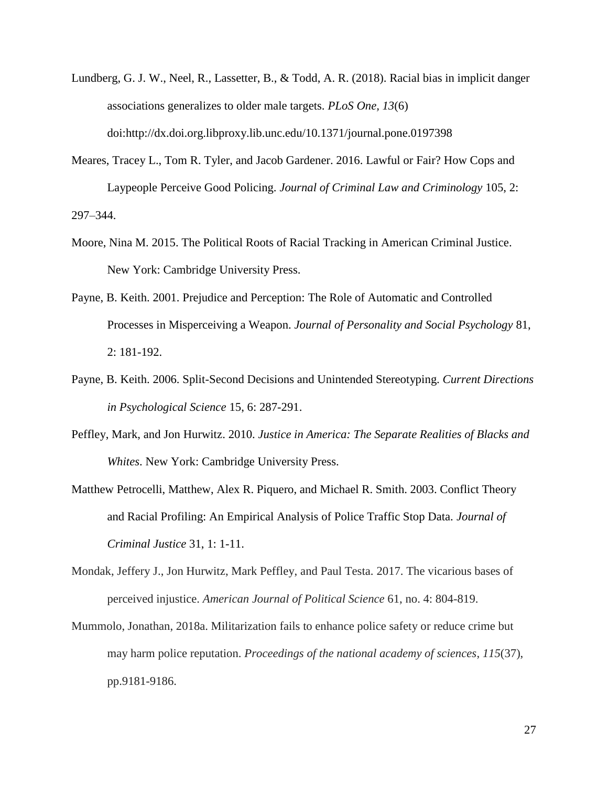- Lundberg, G. J. W., Neel, R., Lassetter, B., & Todd, A. R. (2018). Racial bias in implicit danger associations generalizes to older male targets. *PLoS One, 13*(6) doi:http://dx.doi.org.libproxy.lib.unc.edu/10.1371/journal.pone.0197398
- Meares, Tracey L., Tom R. Tyler, and Jacob Gardener. 2016. Lawful or Fair? How Cops and Laypeople Perceive Good Policing. *Journal of Criminal Law and Criminology* 105, 2: 297–344.
- Moore, Nina M. 2015. The Political Roots of Racial Tracking in American Criminal Justice. New York: Cambridge University Press.
- Payne, B. Keith. 2001. Prejudice and Perception: The Role of Automatic and Controlled Processes in Misperceiving a Weapon. *Journal of Personality and Social Psychology* 81, 2: 181-192.
- Payne, B. Keith. 2006. Split-Second Decisions and Unintended Stereotyping. *Current Directions in Psychological Science* 15, 6: 287-291.
- Peffley, Mark, and Jon Hurwitz. 2010. *Justice in America: The Separate Realities of Blacks and Whites*. New York: Cambridge University Press.
- Matthew Petrocelli, Matthew, Alex R. Piquero, and Michael R. Smith. 2003. Conflict Theory and Racial Profiling: An Empirical Analysis of Police Traffic Stop Data. *Journal of Criminal Justice* 31, 1: 1-11.
- Mondak, Jeffery J., Jon Hurwitz, Mark Peffley, and Paul Testa. 2017. The vicarious bases of perceived injustice. *American Journal of Political Science* 61, no. 4: 804-819.
- Mummolo, Jonathan, 2018a. Militarization fails to enhance police safety or reduce crime but may harm police reputation. *Proceedings of the national academy of sciences*, *115*(37), pp.9181-9186.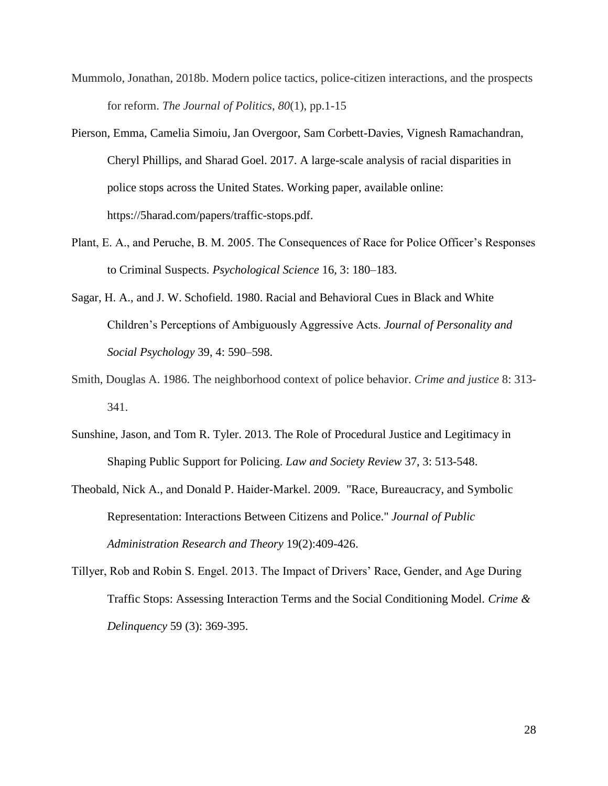- Mummolo, Jonathan, 2018b. Modern police tactics, police-citizen interactions, and the prospects for reform. *The Journal of Politics*, *80*(1), pp.1-15
- Pierson, Emma, Camelia Simoiu, Jan Overgoor, Sam Corbett-Davies, Vignesh Ramachandran, Cheryl Phillips, and Sharad Goel. 2017. A large-scale analysis of racial disparities in police stops across the United States. Working paper, available online: https://5harad.com/papers/traffic-stops.pdf.
- Plant, E. A., and Peruche, B. M. 2005. The Consequences of Race for Police Officer's Responses to Criminal Suspects. *Psychological Science* 16, 3: 180–183.
- Sagar, H. A., and J. W. Schofield. 1980. Racial and Behavioral Cues in Black and White Children's Perceptions of Ambiguously Aggressive Acts. *Journal of Personality and Social Psychology* 39, 4: 590–598.
- Smith, Douglas A. 1986. The neighborhood context of police behavior. *Crime and justice* 8: 313- 341.
- Sunshine, Jason, and Tom R. Tyler. 2013. The Role of Procedural Justice and Legitimacy in Shaping Public Support for Policing. *Law and Society Review* 37, 3: 513-548.
- Theobald, Nick A., and Donald P. Haider-Markel. 2009. "Race, Bureaucracy, and Symbolic Representation: Interactions Between Citizens and Police." *Journal of Public Administration Research and Theory* 19(2):409-426.
- Tillyer, Rob and Robin S. Engel. 2013. The Impact of Drivers' Race, Gender, and Age During Traffic Stops: Assessing Interaction Terms and the Social Conditioning Model. *Crime & Delinquency* 59 (3): 369-395.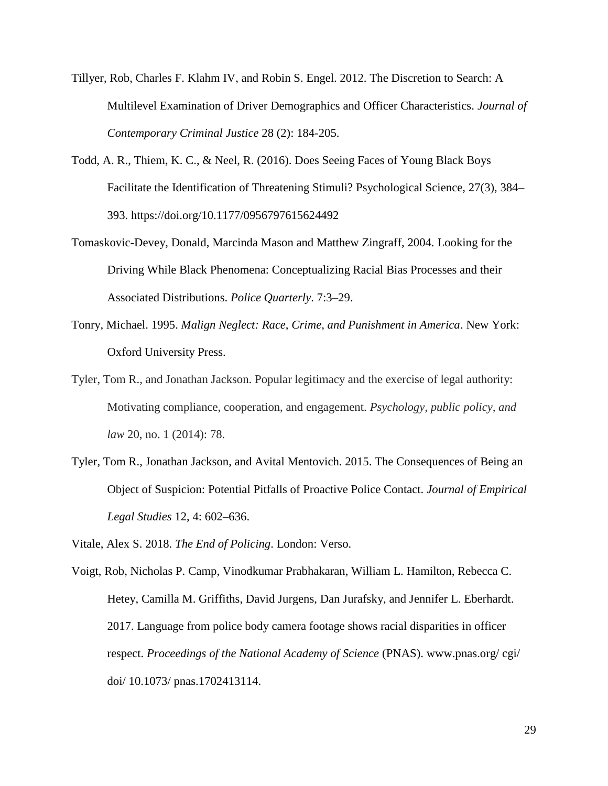- Tillyer, Rob, Charles F. Klahm IV, and Robin S. Engel. 2012. The Discretion to Search: A Multilevel Examination of Driver Demographics and Officer Characteristics. *Journal of Contemporary Criminal Justice* 28 (2): 184-205.
- Todd, A. R., Thiem, K. C., & Neel, R. (2016). Does Seeing Faces of Young Black Boys Facilitate the Identification of Threatening Stimuli? Psychological Science, 27(3), 384– 393. https://doi.org/10.1177/0956797615624492
- Tomaskovic-Devey, Donald, Marcinda Mason and Matthew Zingraff, 2004. Looking for the Driving While Black Phenomena: Conceptualizing Racial Bias Processes and their Associated Distributions. *Police Quarterly*. 7:3–29.
- Tonry, Michael. 1995. *Malign Neglect: Race, Crime, and Punishment in America*. New York: Oxford University Press.
- Tyler, Tom R., and Jonathan Jackson. Popular legitimacy and the exercise of legal authority: Motivating compliance, cooperation, and engagement. *Psychology, public policy, and law* 20, no. 1 (2014): 78.
- Tyler, Tom R., Jonathan Jackson, and Avital Mentovich. 2015. The Consequences of Being an Object of Suspicion: Potential Pitfalls of Proactive Police Contact. *Journal of Empirical Legal Studies* 12, 4: 602–636.
- Vitale, Alex S. 2018. *The End of Policing*. London: Verso.
- Voigt, Rob, Nicholas P. Camp, Vinodkumar Prabhakaran, William L. Hamilton, Rebecca C. Hetey, Camilla M. Griffiths, David Jurgens, Dan Jurafsky, and Jennifer L. Eberhardt. 2017. Language from police body camera footage shows racial disparities in officer respect. *Proceedings of the National Academy of Science* (PNAS). www.pnas.org/ cgi/ doi/ 10.1073/ pnas.1702413114.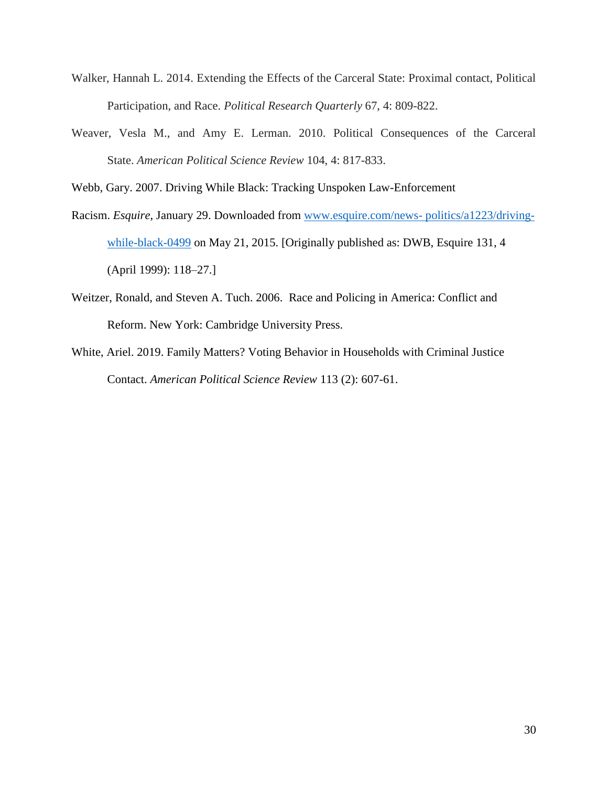- Walker, Hannah L. 2014. Extending the Effects of the Carceral State: Proximal contact, Political Participation, and Race. *Political Research Quarterly* 67, 4: 809-822.
- Weaver, Vesla M., and Amy E. Lerman. 2010. Political Consequences of the Carceral State. *American Political Science Review* 104, 4: 817-833.

Webb, Gary. 2007. Driving While Black: Tracking Unspoken Law-Enforcement

- Racism. *Esquire*, January 29. Downloaded from [www.esquire.com/news-](http://www.esquire.com/news-%20politics/a1223/driving-while-black-0499) politics/a1223/driving[while-black-0499](http://www.esquire.com/news-%20politics/a1223/driving-while-black-0499) on May 21, 2015. [Originally published as: DWB, Esquire 131, 4 (April 1999): 118–27.]
- Weitzer, Ronald, and Steven A. Tuch. 2006. Race and Policing in America: Conflict and Reform. New York: Cambridge University Press.
- White, Ariel. 2019. Family Matters? Voting Behavior in Households with Criminal Justice Contact. *American Political Science Review* 113 (2): 607-61.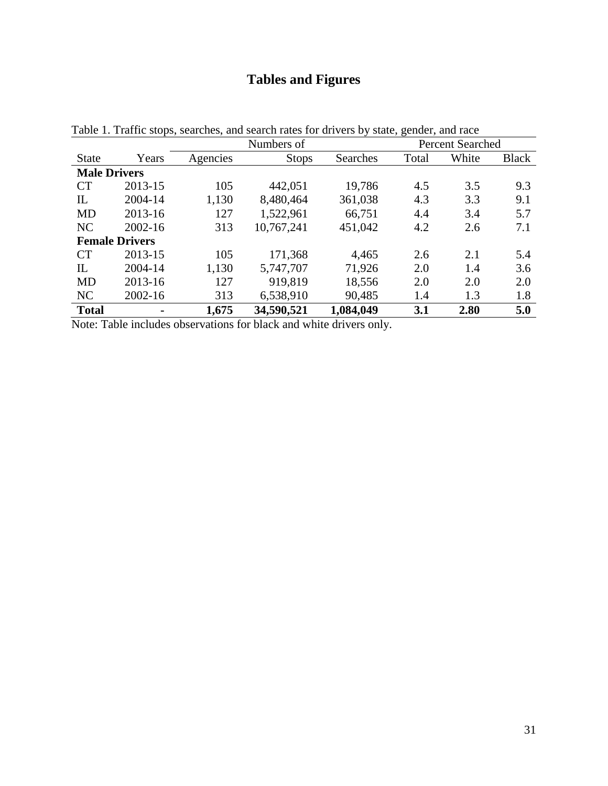# **Tables and Figures**

|                       |                |          | Numbers of   | , O<br><b>Percent Searched</b> |       |       |              |
|-----------------------|----------------|----------|--------------|--------------------------------|-------|-------|--------------|
| <b>State</b>          | Years          | Agencies | <b>Stops</b> | Searches                       | Total | White | <b>Black</b> |
| <b>Male Drivers</b>   |                |          |              |                                |       |       |              |
| CT                    | 2013-15        | 105      | 442,051      | 19,786                         | 4.5   | 3.5   | 9.3          |
| IL                    | 2004-14        | 1,130    | 8,480,464    | 361,038                        | 4.3   | 3.3   | 9.1          |
| <b>MD</b>             | 2013-16        | 127      | 1,522,961    | 66,751                         | 4.4   | 3.4   | 5.7          |
| NC                    | 2002-16        | 313      | 10,767,241   | 451,042                        | 4.2   | 2.6   | 7.1          |
| <b>Female Drivers</b> |                |          |              |                                |       |       |              |
| CT                    | 2013-15        | 105      | 171,368      | 4,465                          | 2.6   | 2.1   | 5.4          |
| $_{\rm IL}$           | 2004-14        | 1,130    | 5,747,707    | 71,926                         | 2.0   | 1.4   | 3.6          |
| <b>MD</b>             | 2013-16        | 127      | 919,819      | 18,556                         | 2.0   | 2.0   | 2.0          |
| NC                    | 2002-16        | 313      | 6,538,910    | 90,485                         | 1.4   | 1.3   | 1.8          |
| <b>Total</b>          | $\blacksquare$ | 1,675    | 34,590,521   | 1,084,049                      | 3.1   | 2.80  | 5.0          |

Table 1. Traffic stops, searches, and search rates for drivers by state, gender, and race

Note: Table includes observations for black and white drivers only.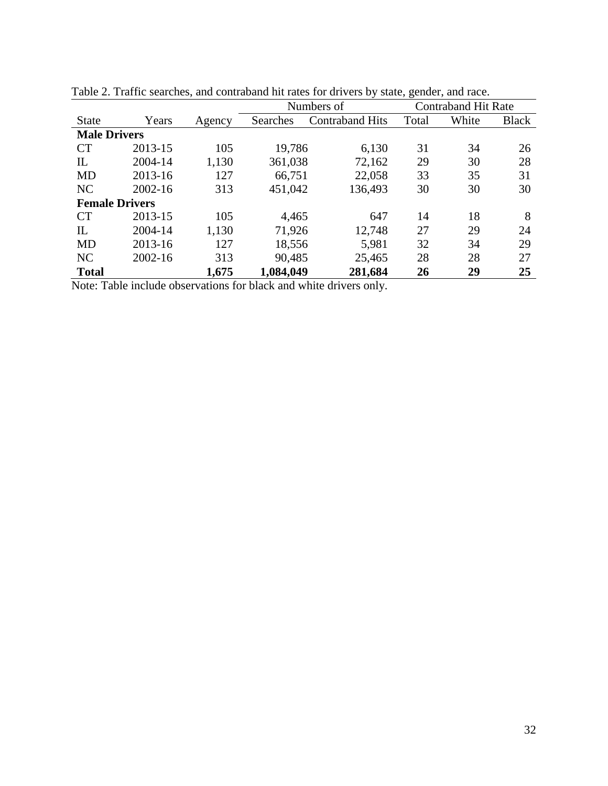|                       |             |        | Numbers of | ے ،<br><b>Contraband Hit Rate</b> |       |       |              |
|-----------------------|-------------|--------|------------|-----------------------------------|-------|-------|--------------|
| <b>State</b>          | Years       | Agency | Searches   | <b>Contraband Hits</b>            | Total | White | <b>Black</b> |
| <b>Male Drivers</b>   |             |        |            |                                   |       |       |              |
| CT                    | 2013-15     | 105    | 19,786     | 6,130                             | 31    | 34    | 26           |
| $_{\rm IL}$           | 2004-14     | 1,130  | 361,038    | 72,162                            | 29    | 30    | 28           |
| <b>MD</b>             | 2013-16     | 127    | 66,751     | 22,058                            | 33    | 35    | 31           |
| NC                    | $2002 - 16$ | 313    | 451,042    | 136,493                           | 30    | 30    | 30           |
| <b>Female Drivers</b> |             |        |            |                                   |       |       |              |
| CT                    | 2013-15     | 105    | 4,465      | 647                               | 14    | 18    | 8            |
| $_{\rm IL}$           | 2004-14     | 1,130  | 71,926     | 12,748                            | 27    | 29    | 24           |
| <b>MD</b>             | 2013-16     | 127    | 18,556     | 5,981                             | 32    | 34    | 29           |
| NC                    | 2002-16     | 313    | 90,485     | 25,465                            | 28    | 28    | 27           |
| <b>Total</b>          |             | 1,675  | 1,084,049  | 281,684                           | 26    | 29    | 25           |

Table 2. Traffic searches, and contraband hit rates for drivers by state, gender, and race.

Note: Table include observations for black and white drivers only.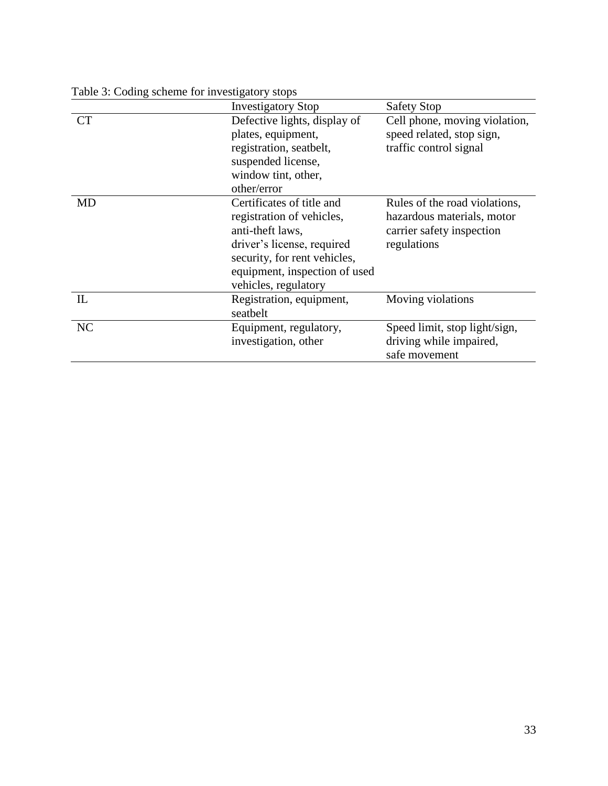|           | <b>Investigatory Stop</b>     | <b>Safety Stop</b>            |  |  |
|-----------|-------------------------------|-------------------------------|--|--|
| <b>CT</b> | Defective lights, display of  | Cell phone, moving violation, |  |  |
|           | plates, equipment,            | speed related, stop sign,     |  |  |
|           | registration, seatbelt,       | traffic control signal        |  |  |
|           | suspended license,            |                               |  |  |
|           | window tint, other,           |                               |  |  |
|           | other/error                   |                               |  |  |
| <b>MD</b> | Certificates of title and     | Rules of the road violations, |  |  |
|           | registration of vehicles,     | hazardous materials, motor    |  |  |
|           | anti-theft laws,              | carrier safety inspection     |  |  |
|           | driver's license, required    | regulations                   |  |  |
|           | security, for rent vehicles,  |                               |  |  |
|           | equipment, inspection of used |                               |  |  |
|           | vehicles, regulatory          |                               |  |  |
| IL        | Registration, equipment,      | Moving violations             |  |  |
|           | seatbelt                      |                               |  |  |
| NC        | Equipment, regulatory,        | Speed limit, stop light/sign, |  |  |
|           | investigation, other          | driving while impaired,       |  |  |
|           |                               | safe movement                 |  |  |

Table 3: Coding scheme for investigatory stops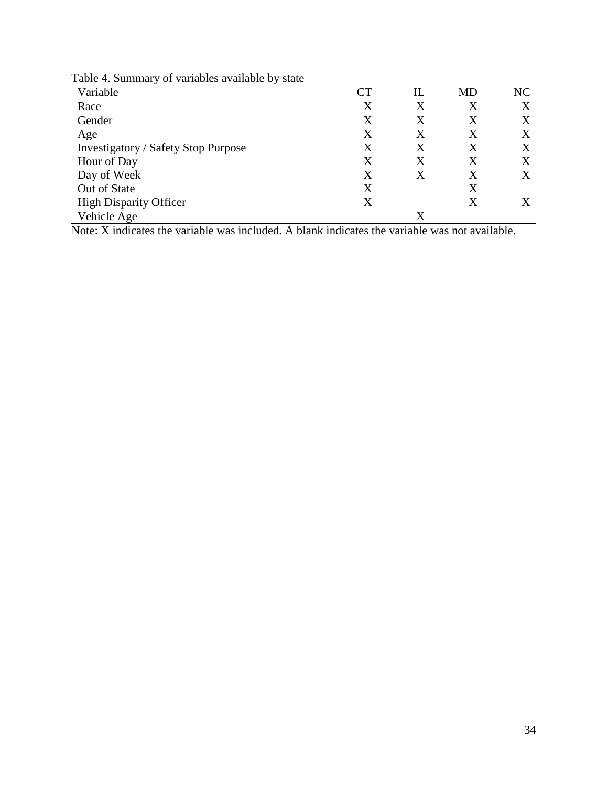Table 4. Summary of variables available by state

| Variable                                   | CТ | IL      | MD | NC |
|--------------------------------------------|----|---------|----|----|
| Race                                       | X  | $\rm X$ | X  | X  |
| Gender                                     | X  | X       | X  | Χ  |
| Age                                        | X  | X       | X  | Χ  |
| <b>Investigatory / Safety Stop Purpose</b> | X  | X       | X  |    |
| Hour of Day                                | X  | X       | X  | X  |
| Day of Week                                | X  | X       | Χ  | X  |
| Out of State                               | X  |         | X  |    |
| <b>High Disparity Officer</b>              | X  |         | X  |    |
| Vehicle Age                                |    | X       |    |    |

Note: X indicates the variable was included. A blank indicates the variable was not available.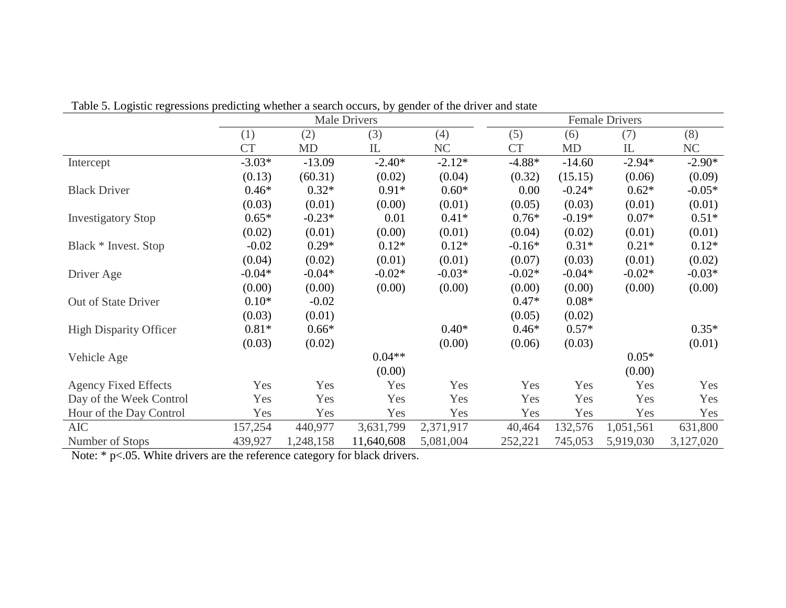|                               | <b>Male Drivers</b> |           |            |           |           | <b>Female Drivers</b> |           |           |  |
|-------------------------------|---------------------|-----------|------------|-----------|-----------|-----------------------|-----------|-----------|--|
|                               | (1)                 | (2)       | (3)        | (4)       | (5)       | (6)                   | (7)       | (8)       |  |
|                               | <b>CT</b>           | <b>MD</b> | ${\rm IL}$ | NC        | <b>CT</b> | MD                    | IL        | NC        |  |
| Intercept                     | $-3.03*$            | $-13.09$  | $-2.40*$   | $-2.12*$  | $-4.88*$  | $-14.60$              | $-2.94*$  | $-2.90*$  |  |
|                               | (0.13)              | (60.31)   | (0.02)     | (0.04)    | (0.32)    | (15.15)               | (0.06)    | (0.09)    |  |
| <b>Black Driver</b>           | $0.46*$             | $0.32*$   | $0.91*$    | $0.60*$   |           | $-0.24*$<br>0.00      | $0.62*$   | $-0.05*$  |  |
|                               | (0.03)              | (0.01)    | (0.00)     | (0.01)    | (0.05)    | (0.03)                | (0.01)    | (0.01)    |  |
| <b>Investigatory Stop</b>     | $0.65*$             | $-0.23*$  | 0.01       | $0.41*$   | $0.76*$   | $-0.19*$              | $0.07*$   | $0.51*$   |  |
|                               | (0.02)              | (0.01)    | (0.00)     | (0.01)    | (0.04)    | (0.02)                | (0.01)    | (0.01)    |  |
| Black * Invest. Stop          | $-0.02$             | $0.29*$   | $0.12*$    | $0.12*$   | $-0.16*$  | $0.31*$               | $0.21*$   | $0.12*$   |  |
|                               | (0.04)              | (0.02)    | (0.01)     | (0.01)    | (0.07)    | (0.03)                | (0.01)    | (0.02)    |  |
| Driver Age                    | $-0.04*$            | $-0.04*$  | $-0.02*$   | $-0.03*$  | $-0.02*$  | $-0.04*$              | $-0.02*$  | $-0.03*$  |  |
|                               | (0.00)              | (0.00)    | (0.00)     | (0.00)    | (0.00)    | (0.00)                | (0.00)    | (0.00)    |  |
| Out of State Driver           | $0.10*$             | $-0.02$   |            |           | $0.47*$   | $0.08*$               |           |           |  |
|                               | (0.03)              | (0.01)    |            |           | (0.05)    | (0.02)                |           |           |  |
| <b>High Disparity Officer</b> | $0.81*$             | $0.66*$   |            | $0.40*$   | $0.46*$   | $0.57*$               |           | $0.35*$   |  |
|                               | (0.03)              | (0.02)    |            | (0.00)    | (0.06)    | (0.03)                |           | (0.01)    |  |
| Vehicle Age                   |                     |           | $0.04**$   |           |           |                       | $0.05*$   |           |  |
|                               |                     |           | (0.00)     |           |           |                       | (0.00)    |           |  |
| <b>Agency Fixed Effects</b>   | Yes                 | Yes       | Yes        | Yes       |           | Yes<br>Yes            | Yes       | Yes       |  |
| Day of the Week Control       | Yes                 | Yes       | Yes        | Yes       |           | Yes<br>Yes            | Yes       | Yes       |  |
| Hour of the Day Control       | Yes                 | Yes       | Yes        | Yes       |           | Yes<br>Yes            | Yes       | Yes       |  |
| <b>AIC</b>                    | 157,254             | 440,977   | 3,631,799  | 2,371,917 | 40,464    | 132,576               | 1,051,561 | 631,800   |  |
| Number of Stops               | 439,927             | 1,248,158 | 11,640,608 | 5,081,004 | 252,221   | 745,053               | 5,919,030 | 3,127,020 |  |

Table 5. Logistic regressions predicting whether a search occurs, by gender of the driver and state

Note: \* p<.05. White drivers are the reference category for black drivers.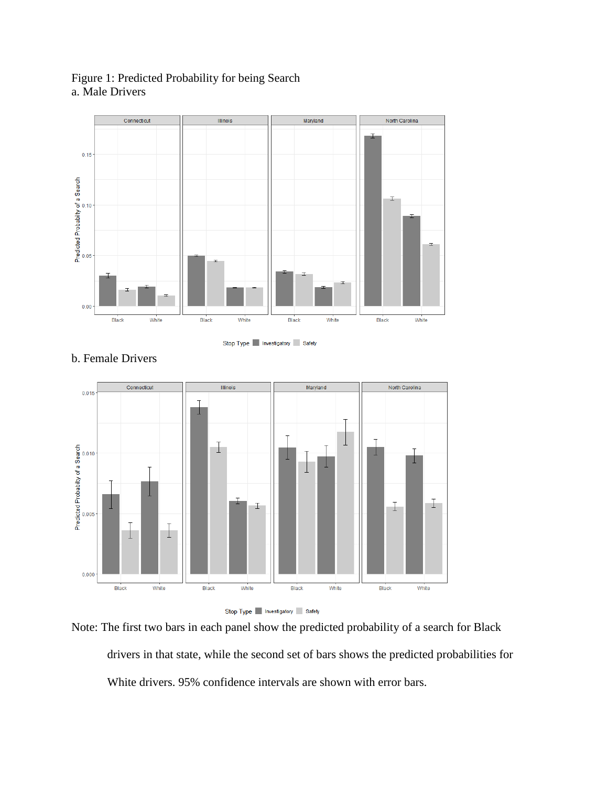

Figure 1: Predicted Probability for being Search a. Male Drivers

Stop Type Investigatory Safety



## b. Female Drivers

Stop Type Investigatory Safety

Note: The first two bars in each panel show the predicted probability of a search for Black drivers in that state, while the second set of bars shows the predicted probabilities for White drivers. 95% confidence intervals are shown with error bars.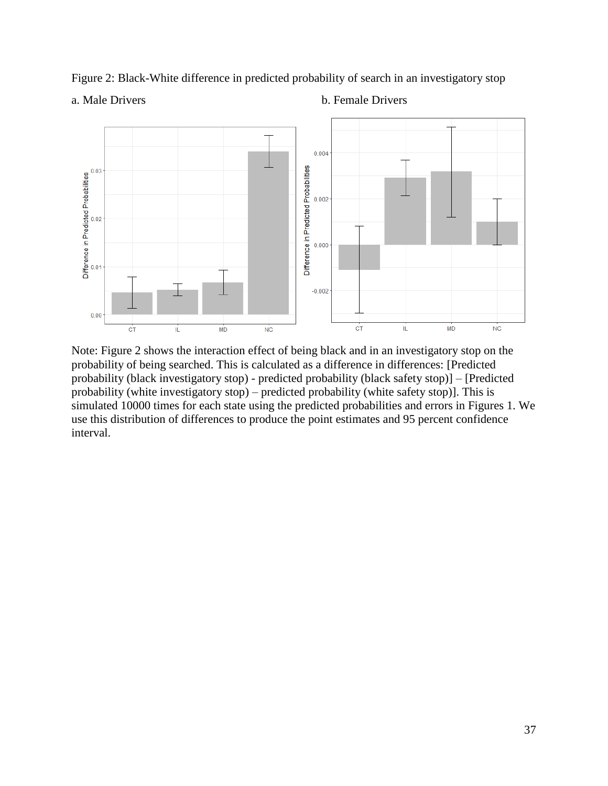Figure 2: Black-White difference in predicted probability of search in an investigatory stop



a. Male Drivers b. Female Drivers



Note: Figure 2 shows the interaction effect of being black and in an investigatory stop on the probability of being searched. This is calculated as a difference in differences: [Predicted probability (black investigatory stop) - predicted probability (black safety stop)] – [Predicted probability (white investigatory stop) – predicted probability (white safety stop)]. This is simulated 10000 times for each state using the predicted probabilities and errors in Figures 1. We use this distribution of differences to produce the point estimates and 95 percent confidence interval.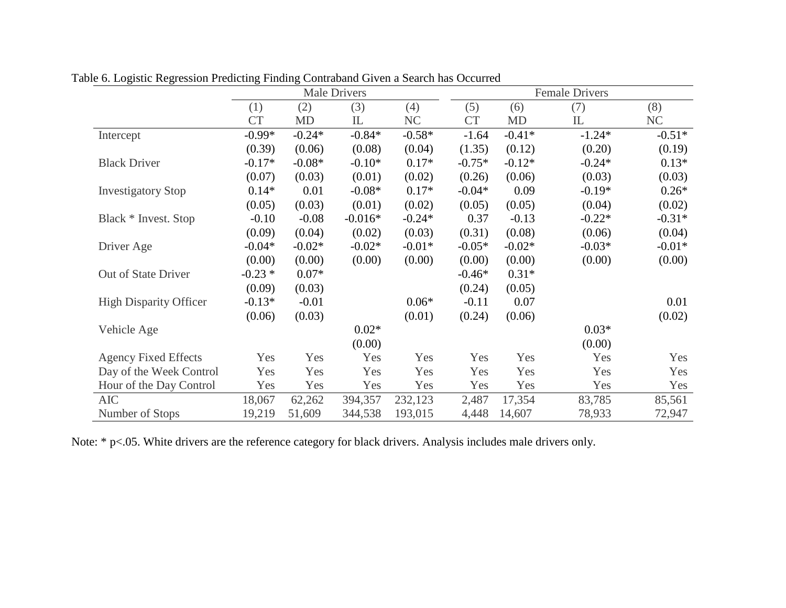|                               | Male Drivers |           |           |          |           | <b>Female Drivers</b> |          |           |  |
|-------------------------------|--------------|-----------|-----------|----------|-----------|-----------------------|----------|-----------|--|
|                               | (1)          | (2)       | (3)       | (4)      | (5)       | (6)                   | (7)      | (8)       |  |
|                               | <b>CT</b>    | <b>MD</b> | IL        | NC       | <b>CT</b> | <b>MD</b>             | IL       | <b>NC</b> |  |
| Intercept                     | $-0.99*$     | $-0.24*$  | $-0.84*$  | $-0.58*$ | $-1.64$   | $-0.41*$              | $-1.24*$ | $-0.51*$  |  |
|                               | (0.39)       | (0.06)    | (0.08)    | (0.04)   | (1.35)    | (0.12)                | (0.20)   | (0.19)    |  |
| <b>Black Driver</b>           | $-0.17*$     | $-0.08*$  | $-0.10*$  | $0.17*$  | $-0.75*$  | $-0.12*$              | $-0.24*$ | $0.13*$   |  |
|                               | (0.07)       | (0.03)    | (0.01)    | (0.02)   | (0.26)    | (0.06)                | (0.03)   | (0.03)    |  |
| <b>Investigatory Stop</b>     | $0.14*$      | 0.01      | $-0.08*$  | $0.17*$  | $-0.04*$  | 0.09                  | $-0.19*$ | $0.26*$   |  |
|                               | (0.05)       | (0.03)    | (0.01)    | (0.02)   | (0.05)    | (0.05)                | (0.04)   | (0.02)    |  |
| Black * Invest. Stop          | $-0.10$      | $-0.08$   | $-0.016*$ | $-0.24*$ | 0.37      | $-0.13$               | $-0.22*$ | $-0.31*$  |  |
|                               | (0.09)       | (0.04)    | (0.02)    | (0.03)   | (0.31)    | (0.08)                | (0.06)   | (0.04)    |  |
| Driver Age                    | $-0.04*$     | $-0.02*$  | $-0.02*$  | $-0.01*$ | $-0.05*$  | $-0.02*$              | $-0.03*$ | $-0.01*$  |  |
|                               | (0.00)       | (0.00)    | (0.00)    | (0.00)   | (0.00)    | (0.00)                | (0.00)   | (0.00)    |  |
| Out of State Driver           | $-0.23*$     | $0.07*$   |           |          | $-0.46*$  | $0.31*$               |          |           |  |
|                               | (0.09)       | (0.03)    |           |          | (0.24)    | (0.05)                |          |           |  |
| <b>High Disparity Officer</b> | $-0.13*$     | $-0.01$   |           | $0.06*$  | $-0.11$   | 0.07                  |          | 0.01      |  |
|                               | (0.06)       | (0.03)    |           | (0.01)   | (0.24)    | (0.06)                |          | (0.02)    |  |
| Vehicle Age                   |              |           | $0.02*$   |          |           |                       | $0.03*$  |           |  |
|                               |              |           | (0.00)    |          |           |                       | (0.00)   |           |  |
| <b>Agency Fixed Effects</b>   | Yes          | Yes       | Yes       | Yes      | Yes       | Yes                   | Yes      | Yes       |  |
| Day of the Week Control       | Yes          | Yes       | Yes       | Yes      | Yes       | Yes                   | Yes      | Yes       |  |
| Hour of the Day Control       | Yes          | Yes       | Yes       | Yes      | Yes       | Yes                   | Yes      | Yes       |  |
| <b>AIC</b>                    | 18,067       | 62,262    | 394,357   | 232,123  | 2,487     | 17,354                | 83,785   | 85,561    |  |
| Number of Stops               | 19,219       | 51,609    | 344,538   | 193,015  | 4,448     | 14,607                | 78,933   | 72,947    |  |

Table 6. Logistic Regression Predicting Finding Contraband Given a Search has Occurred

Note: \* p<.05. White drivers are the reference category for black drivers. Analysis includes male drivers only.